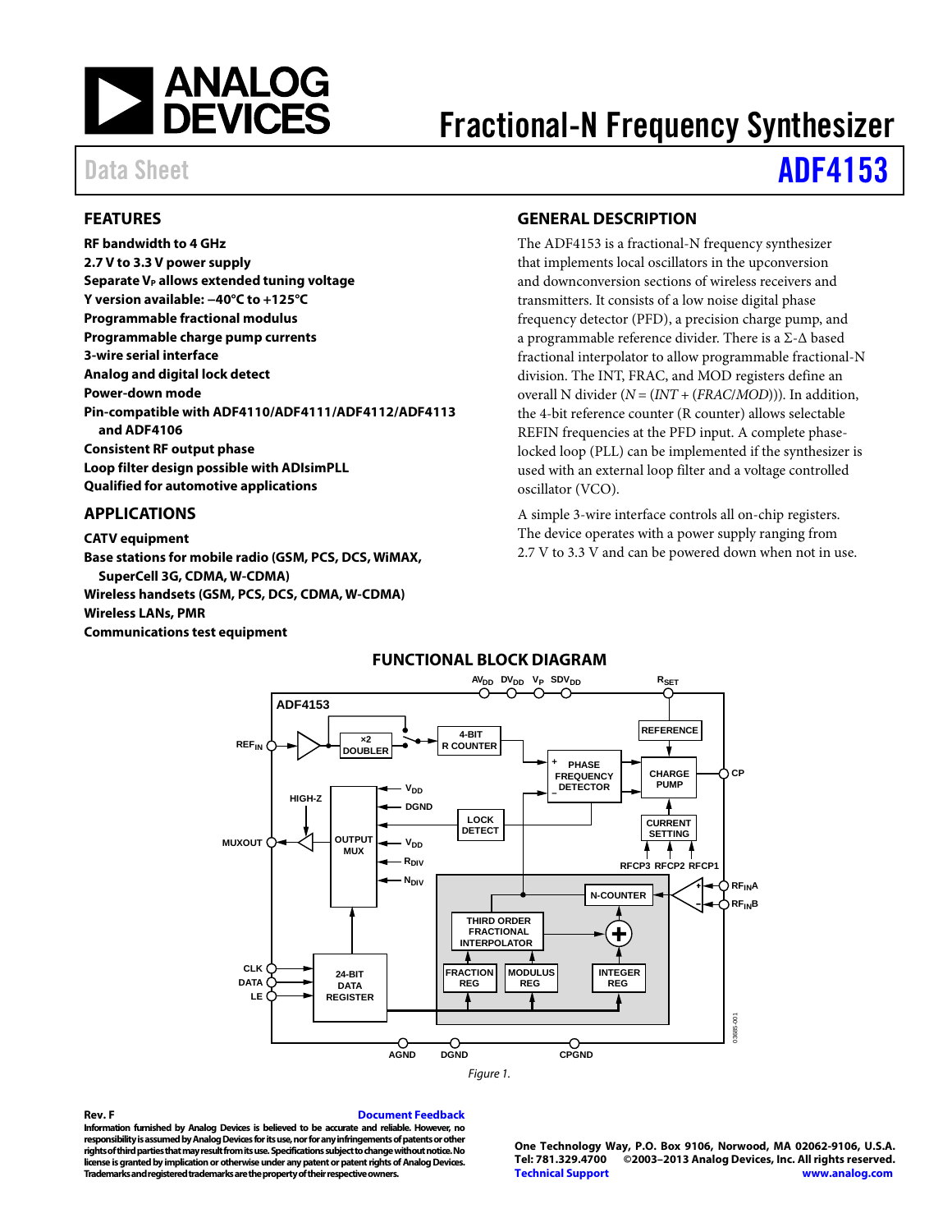

# Fractional-N Frequency Synthesizer

# Data Sheet **[ADF4153](http://www.analog.com/ADF4153)**

#### <span id="page-0-0"></span>**FEATURES**

**RF bandwidth to 4 GHz 2.7 V to 3.3 V power supply Separate V<sub>P</sub> allows extended tuning voltage Y version available: −40°C to +125°C Programmable fractional modulus Programmable charge pump currents 3-wire serial interface Analog and digital lock detect Power-down mode Pin-compatible wit[h ADF4110](http://www.analog.com/ADF4110)[/ADF4111](http://www.analog.com/ADF4111)[/ADF4112](http://www.analog.com/ADF4112)[/ADF4113](http://www.analog.com/ADF4113) an[d ADF4106](http://www.analog.com/ADF4106) Consistent RF output phase Loop filter design possible with ADIsimPLL Qualified for automotive applications**

#### <span id="page-0-1"></span>**APPLICATIONS**

<span id="page-0-3"></span>**CATV equipment Base stations for mobile radio (GSM, PCS, DCS, WiMAX, SuperCell 3G, CDMA, W-CDMA) Wireless handsets (GSM, PCS, DCS, CDMA, W-CDMA) Wireless LANs, PMR Communications test equipment**

#### <span id="page-0-2"></span>**GENERAL DESCRIPTION**

The ADF4153 is a fractional-N frequency synthesizer that implements local oscillators in the upconversion and downconversion sections of wireless receivers and transmitters. It consists of a low noise digital phase frequency detector (PFD), a precision charge pump, and a programmable reference divider. There is a Σ-Δ based fractional interpolator to allow programmable fractional-N division. The INT, FRAC, and MOD registers define an overall N divider (*N* = (*INT* + (*FRAC*/*MOD*))). In addition, the 4-bit reference counter (R counter) allows selectable REFIN frequencies at the PFD input. A complete phaselocked loop (PLL) can be implemented if the synthesizer is used with an external loop filter and a voltage controlled oscillator (VCO).

A simple 3-wire interface controls all on-chip registers. The device operates with a power supply ranging from 2.7 V to 3.3 V and can be powered down when not in use.



### **FUNCTIONAL BLOCK DIAGRAM**

#### **Rev. F [Document Feedback](https://form.analog.com/Form_Pages/feedback/documentfeedback.aspx?doc=ADF4153.pdf&product=ADF4153&rev=F)**

**Information furnished by Analog Devices is believed to be accurate and reliable. However, no responsibility is assumed by Analog Devices for its use, nor for any infringements of patents or other rights of third parties that may result from its use. Specifications subject to change without notice. No license is granted by implication or otherwise under any patent or patent rights of Analog Devices. Trademarks and registered trademarks are the property of their respective owners.**

**One Technology Way, P.O. Box 9106, Norwood, MA 02062-9106, U.S.A. Tel: 781.329.4700 ©2003–2013 Analog Devices, Inc. All rights reserved. [Technical Support](http://www.analog.com/en/content/technical_support_page/fca.html) [www.analog.com](http://www.analog.com/)**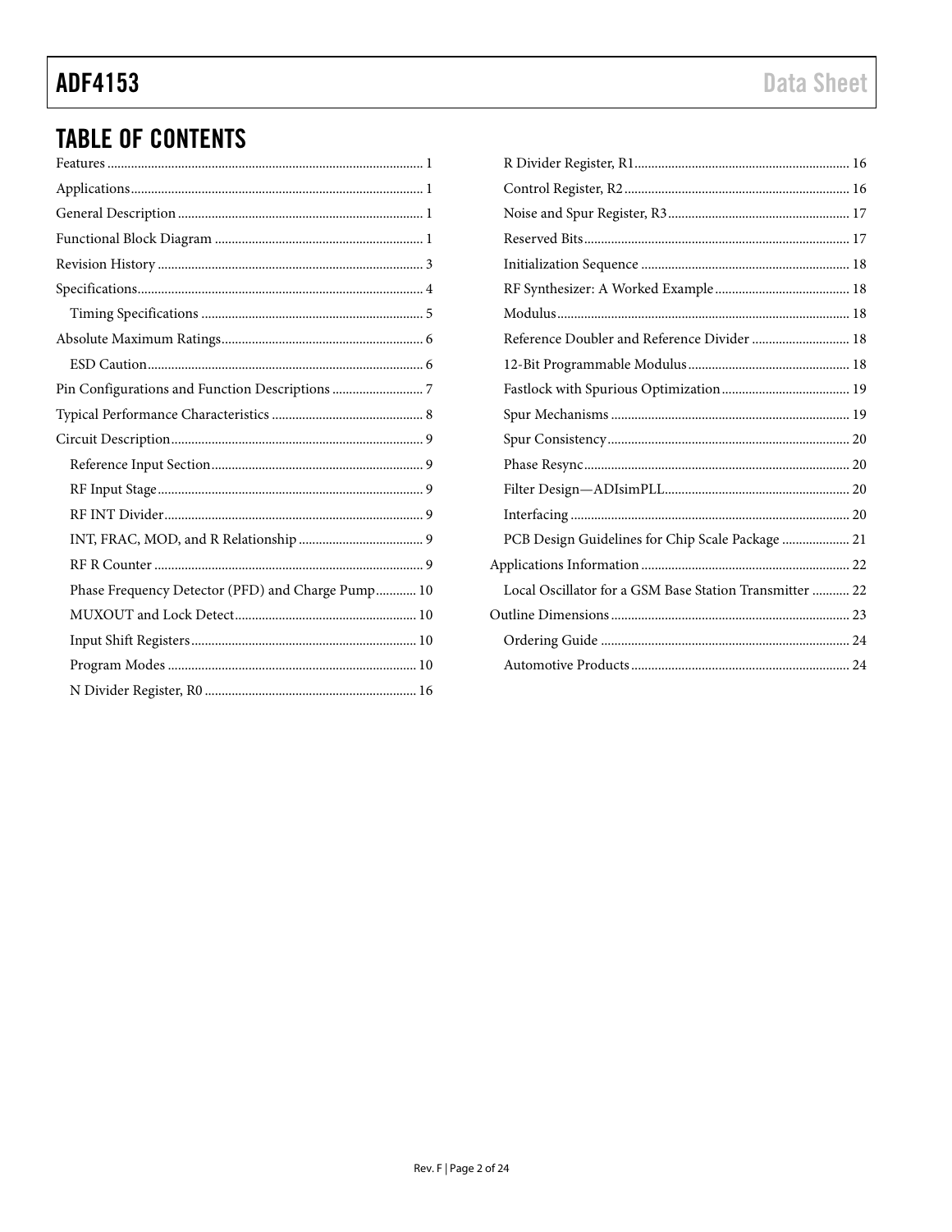# **ADF4153**

## **TABLE OF CONTENTS**

| Phase Frequency Detector (PFD) and Charge Pump 10 |
|---------------------------------------------------|
|                                                   |
|                                                   |
|                                                   |

| Reference Doubler and Reference Divider  18             |  |
|---------------------------------------------------------|--|
|                                                         |  |
|                                                         |  |
|                                                         |  |
|                                                         |  |
|                                                         |  |
|                                                         |  |
|                                                         |  |
| PCB Design Guidelines for Chip Scale Package  21        |  |
|                                                         |  |
| Local Oscillator for a GSM Base Station Transmitter  22 |  |
|                                                         |  |
|                                                         |  |
|                                                         |  |
|                                                         |  |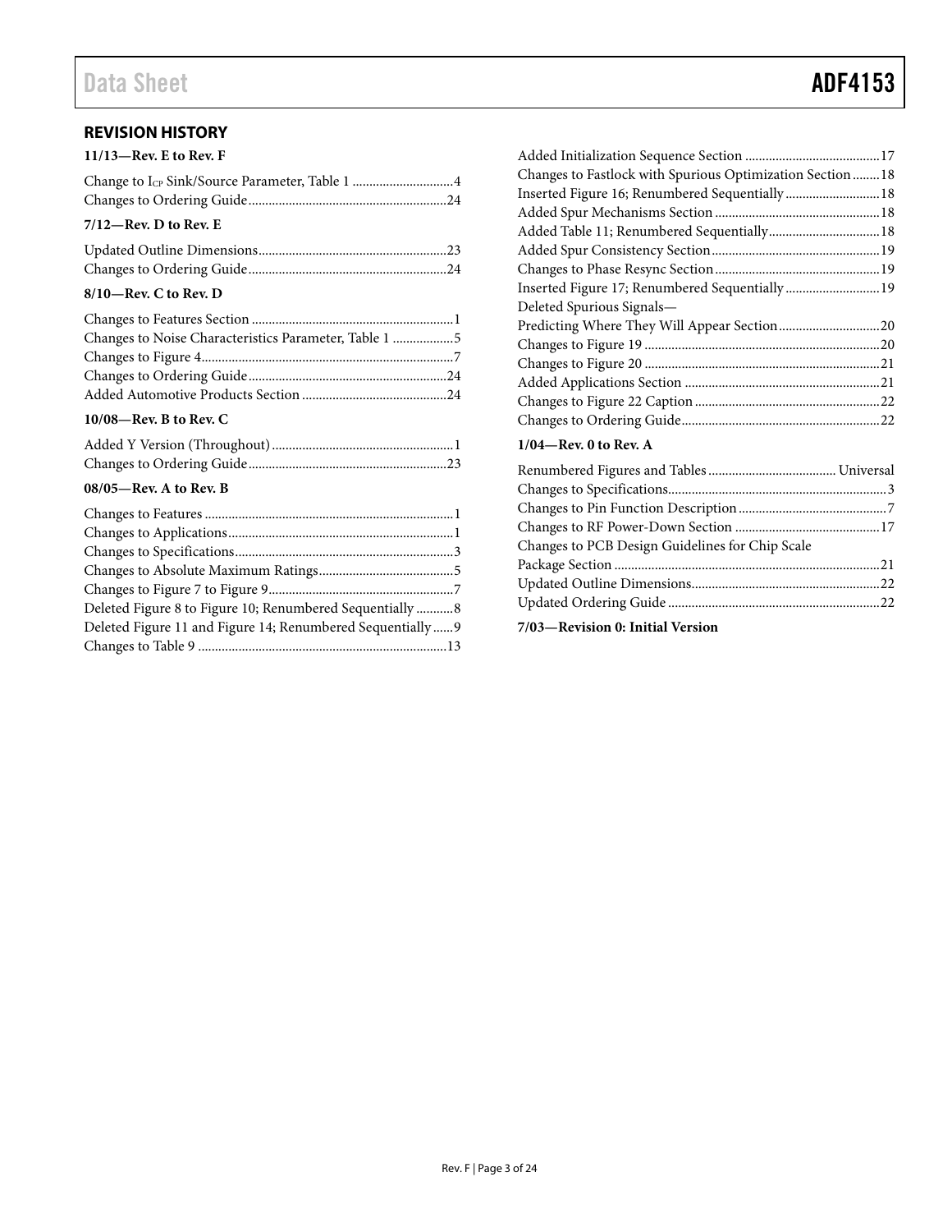#### <span id="page-2-0"></span>**REVISION HISTORY**

| $11/13$ —Rev. E to Rev. F |  |
|---------------------------|--|
|                           |  |
|                           |  |
| $7/12$ —Rev. D to Rev. E  |  |
|                           |  |
|                           |  |

#### **8/10—Rev. C to Rev. D**

| Changes to Noise Characteristics Parameter, Table 1 |  |
|-----------------------------------------------------|--|
|                                                     |  |
|                                                     |  |
|                                                     |  |

#### **10/08—Rev. B to Rev. C**

#### **08/05—Rev. A to Rev. B**

| Deleted Figure 8 to Figure 10; Renumbered Sequentially  8   |  |
|-------------------------------------------------------------|--|
| Deleted Figure 11 and Figure 14; Renumbered Sequentially  9 |  |
|                                                             |  |
|                                                             |  |

| Changes to Fastlock with Spurious Optimization Section 18 |  |
|-----------------------------------------------------------|--|
|                                                           |  |
|                                                           |  |
|                                                           |  |
|                                                           |  |
|                                                           |  |
|                                                           |  |
| Deleted Spurious Signals—                                 |  |
|                                                           |  |
|                                                           |  |
|                                                           |  |
|                                                           |  |
|                                                           |  |
|                                                           |  |

#### **1/04—Rev. 0 to Rev. A**

| Changes to PCB Design Guidelines for Chip Scale |  |
|-------------------------------------------------|--|
|                                                 |  |
|                                                 |  |
|                                                 |  |

Changes to Ordering Guide...........................................................22

**7/03—Revision 0: Initial Version**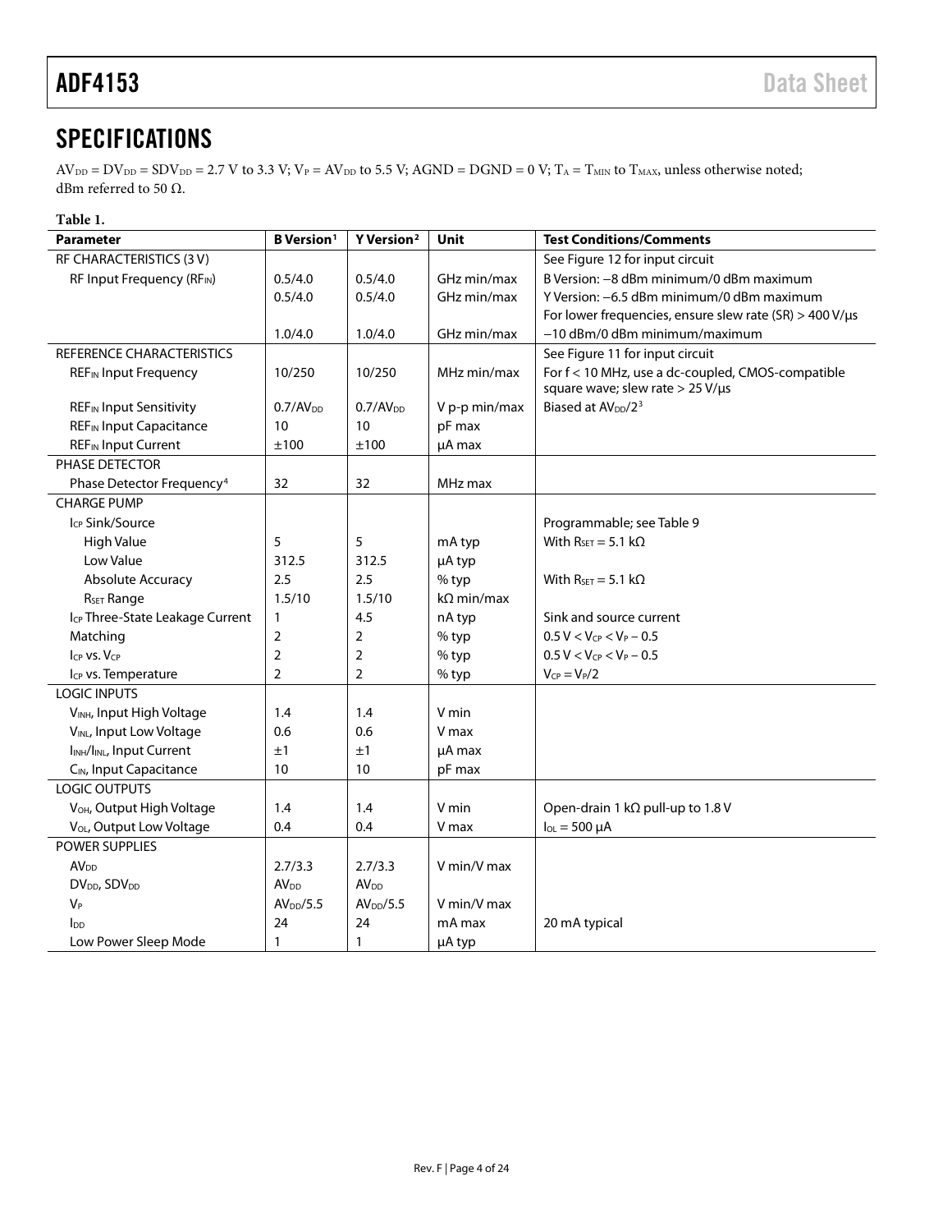## <span id="page-3-0"></span>**SPECIFICATIONS**

 $AV_{DD} = DV_{DD} = SDV_{DD} = 2.7 V$  to 3.3 V;  $V_P = AV_{DD}$  to 5.5 V; AGND = DGND = 0 V; T<sub>A</sub> = T<sub>MIN</sub> to T<sub>MAX</sub>, unless otherwise noted; dBm referred to 50 Ω.

#### **Table 1.**

| <b>Parameter</b>                                   | <b>B</b> Version <sup>1</sup> | Y Version <sup>2</sup>  | <b>Unit</b>       | <b>Test Conditions/Comments</b>                                                            |
|----------------------------------------------------|-------------------------------|-------------------------|-------------------|--------------------------------------------------------------------------------------------|
| RF CHARACTERISTICS (3 V)                           |                               |                         |                   | See Figure 12 for input circuit                                                            |
| RF Input Frequency (RFIN)                          | 0.5/4.0                       | 0.5/4.0                 | GHz min/max       | B Version: -8 dBm minimum/0 dBm maximum                                                    |
|                                                    | 0.5/4.0                       | 0.5/4.0                 | GHz min/max       | Y Version: -6.5 dBm minimum/0 dBm maximum                                                  |
|                                                    |                               |                         |                   | For lower frequencies, ensure slew rate (SR) > 400 V/ $\mu$ s                              |
|                                                    | 1.0/4.0                       | 1.0/4.0                 | GHz min/max       | -10 dBm/0 dBm minimum/maximum                                                              |
| REFERENCE CHARACTERISTICS                          |                               |                         |                   | See Figure 11 for input circuit                                                            |
| <b>REF<sub>IN</sub></b> Input Frequency            | 10/250                        | 10/250                  | MHz min/max       | For f < 10 MHz, use a dc-coupled, CMOS-compatible<br>square wave; slew rate $> 25 V/\mu s$ |
| <b>REF</b> <sub>IN</sub> Input Sensitivity         | 0.7/AV <sub>DD</sub>          | 0.7/AV <sub>DD</sub>    | V p-p min/max     | Biased at AV <sub>DD</sub> /2 <sup>3</sup>                                                 |
| <b>REF<sub>IN</sub></b> Input Capacitance          | 10                            | 10                      | pF max            |                                                                                            |
| <b>REF<sub>IN</sub></b> Input Current              | ±100                          | ±100                    | µA max            |                                                                                            |
| PHASE DETECTOR                                     |                               |                         |                   |                                                                                            |
| Phase Detector Frequency <sup>4</sup>              | 32                            | 32                      | MHz max           |                                                                                            |
| <b>CHARGE PUMP</b>                                 |                               |                         |                   |                                                                                            |
| Icp Sink/Source                                    |                               |                         |                   | Programmable; see Table 9                                                                  |
| <b>High Value</b>                                  | 5                             | 5                       | mA typ            | With $R_{SET} = 5.1 k\Omega$                                                               |
| Low Value                                          | 312.5                         | 312.5                   | µA typ            |                                                                                            |
| Absolute Accuracy                                  | 2.5                           | 2.5                     | % typ             | With $R_{SET} = 5.1 \text{ k}\Omega$                                                       |
| R <sub>SET</sub> Range                             | 1.5/10                        | 1.5/10                  | $k\Omega$ min/max |                                                                                            |
| I <sub>CP</sub> Three-State Leakage Current        | 1                             | 4.5                     | nA typ            | Sink and source current                                                                    |
| Matching                                           | $\overline{2}$                | $\overline{2}$          | % typ             | $0.5 V < V_{CP} < V_P - 0.5$                                                               |
| ICP VS. VCP                                        | $\overline{2}$                | $\overline{2}$          | % typ             | $0.5 V < V_{CP} < V_P - 0.5$                                                               |
| I <sub>CP</sub> vs. Temperature                    | $\overline{2}$                | $\overline{2}$          | $%$ typ           | $V_{CP} = V_P/2$                                                                           |
| <b>LOGIC INPUTS</b>                                |                               |                         |                   |                                                                                            |
| V <sub>INH</sub> , Input High Voltage              | 1.4                           | 1.4                     | V min             |                                                                                            |
| VINL, Input Low Voltage                            | 0.6                           | 0.6                     | V max             |                                                                                            |
| I <sub>INH</sub> /I <sub>INL</sub> , Input Current | $\pm 1$                       | ±1                      | µA max            |                                                                                            |
| C <sub>IN</sub> , Input Capacitance                | 10                            | 10                      | pF max            |                                                                                            |
| LOGIC OUTPUTS                                      |                               |                         |                   |                                                                                            |
| V <sub>OH</sub> , Output High Voltage              | 1.4                           | 1.4                     | V min             | Open-drain 1 kΩ pull-up to 1.8 V                                                           |
| V <sub>OL</sub> , Output Low Voltage               | 0.4                           | 0.4                     | V max             | $I_{OL} = 500 \mu A$                                                                       |
| POWER SUPPLIES                                     |                               |                         |                   |                                                                                            |
| AV <sub>DD</sub>                                   | 2.7/3.3                       | 2.7/3.3                 | V min/V max       |                                                                                            |
| DV <sub>DD</sub> , SDV <sub>DD</sub>               | AV <sub>DD</sub>              | <b>AV</b> <sub>DD</sub> |                   |                                                                                            |
| $V_P$                                              | AV <sub>DD</sub> /5.5         | AV <sub>DD</sub> /5.5   | V min/V max       |                                                                                            |
| Inn                                                | 24                            | 24                      | mA max            | 20 mA typical                                                                              |
| Low Power Sleep Mode                               | 1                             | $\mathbf{1}$            | µA typ            |                                                                                            |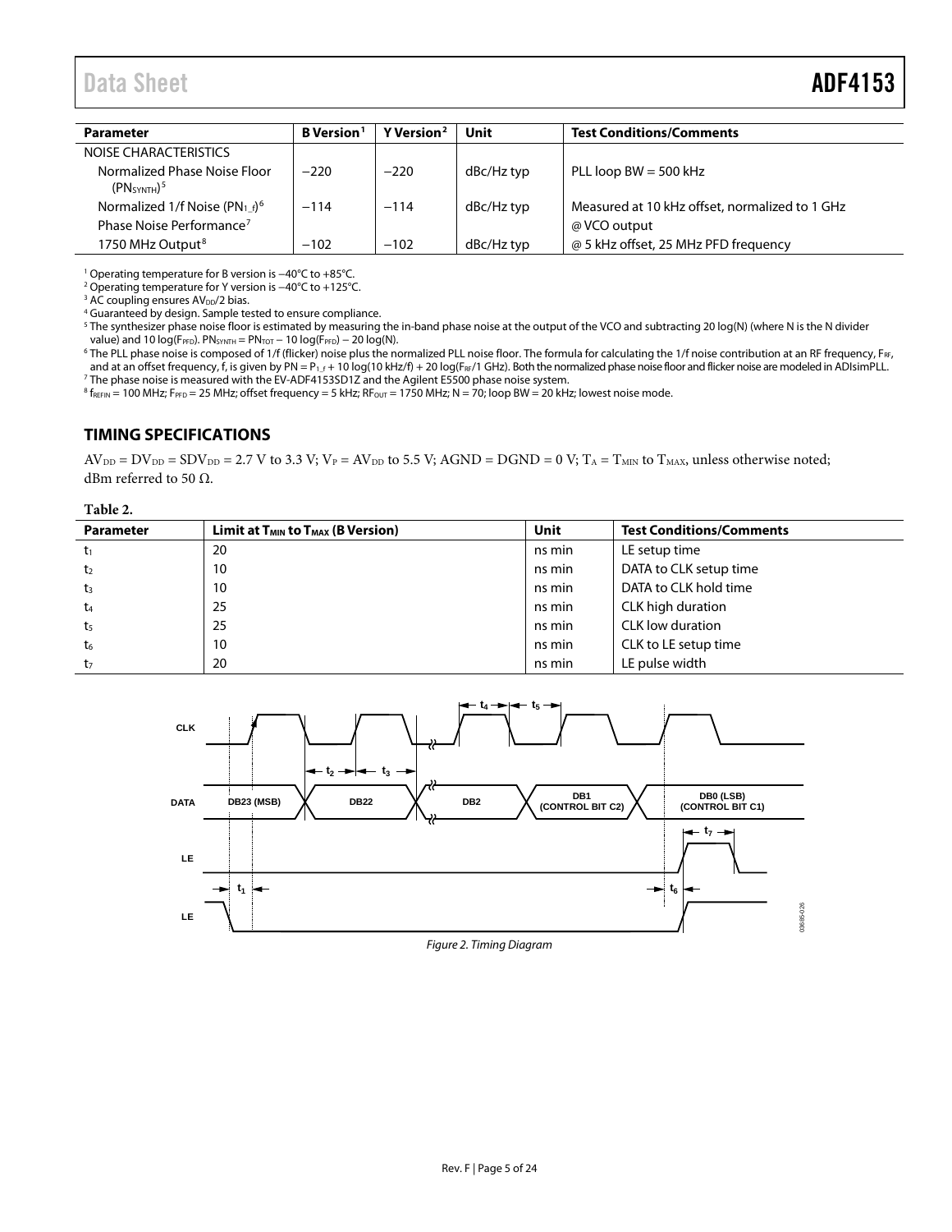| <b>Parameter</b>                                                    | B Version <sup>1</sup> | Y Version <sup>2</sup> | Unit       | <b>Test Conditions/Comments</b>                |
|---------------------------------------------------------------------|------------------------|------------------------|------------|------------------------------------------------|
| NOISE CHARACTERISTICS                                               |                        |                        |            |                                                |
| Normalized Phase Noise Floor<br>(PN <sub>SYNTH</sub> ) <sup>5</sup> | $-220$                 | $-220$                 | dBc/Hz typ | PLL loop $BW = 500$ kHz                        |
| Normalized 1/f Noise (PN <sub>1f</sub> ) <sup>6</sup>               | $-114$                 | $-114$                 | dBc/Hz typ | Measured at 10 kHz offset, normalized to 1 GHz |
| Phase Noise Performance <sup>7</sup>                                |                        |                        |            | @ VCO output                                   |
| 1750 MHz Output <sup>8</sup>                                        | $-102$                 | $-102$                 | dBc/Hz typ | @ 5 kHz offset, 25 MHz PFD frequency           |

<sup>1</sup> Operating temperature for B version is −40°C to +85°C.

<sup>2</sup> Operating temperature for Y version is −40°C to +125°C.

<sup>3</sup> AC coupling ensures AV<sub>DD</sub>/2 bias.

<sup>4</sup> Guaranteed by design. Sample tested to ensure compliance.

<sup>5</sup> The synthesizer phase noise floor is estimated by measuring the in-band phase noise at the output of the VCO and subtracting 20 log(N) (where N is the N divider value) and 10 log(FPFD). PNSYNTH = PNTOT - 10 log(FPFD) - 20 log(N).

<sup>6</sup> The PLL phase noise is composed of 1/f (flicker) noise plus the normalized PLL noise floor. The formula for calculating the 1/f noise contribution at an RF frequency, F<sub>RF</sub>, and at an offset frequency, f, is given by PN = P<sub>1\_f</sub> + 10 log(10 kHz/f) + 20 log(F<sub>RF</sub>/1 GHz). Both the normalized phase noise floor and flicker noise are modeled in ADIsimPLL. <sup>7</sup> The phase noise is measured with the EV-ADF4153SD1Z and the Agilent E5500 phase noise system.

 $8 f_{REFIN} = 100$  MHz; F<sub>PFD</sub> = 25 MHz; offset frequency = 5 kHz; RF<sub>OUT</sub> = 1750 MHz; N = 70; loop BW = 20 kHz; lowest noise mode.

#### <span id="page-4-0"></span>**TIMING SPECIFICATIONS**

 $AV_{DD} = DV_{DD} = SDV_{DD} = 2.7 V$  to 3.3 V;  $V_P = AV_{DD}$  to 5.5 V; AGND = DGND = 0 V; T<sub>A</sub> = T<sub>MIN</sub> to T<sub>MAX</sub>, unless otherwise noted; dBm referred to 50  $Ω$ .

#### **Table 2.**

| <b>Parameter</b> | Limit at $T_{MIN}$ to $T_{MAX}$ (B Version) | Unit   | <b>Test Conditions/Comments</b> |
|------------------|---------------------------------------------|--------|---------------------------------|
| t1               | 20                                          | ns min | LE setup time                   |
| t <sub>2</sub>   | 10                                          | ns min | DATA to CLK setup time          |
| $t_3$            | 10                                          | ns min | DATA to CLK hold time           |
| t <sub>4</sub>   | 25                                          | ns min | CLK high duration               |
| t <sub>5</sub>   | 25                                          | ns min | CLK low duration                |
| t <sub>6</sub>   | 10                                          | ns min | CLK to LE setup time            |
| t <sub>7</sub>   | 20                                          | ns min | LE pulse width                  |

<span id="page-4-1"></span>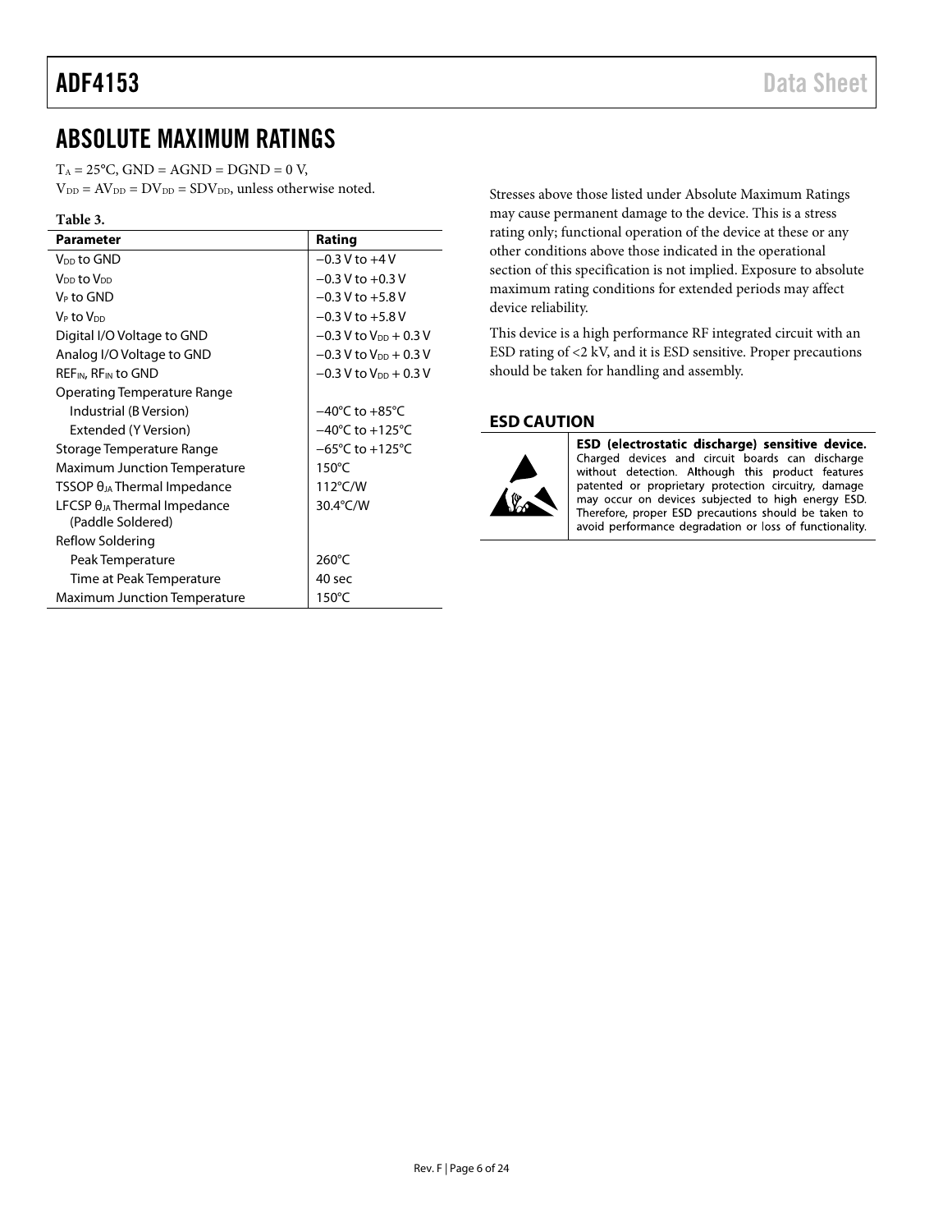### <span id="page-5-0"></span>ABSOLUTE MAXIMUM RATINGS

 $T_A = 25^{\circ}C$ ,  $GND = AGND = DGND = 0 V$ ,  $V_{DD} = AV_{DD} = DV_{DD} = SDV_{DD}$ , unless otherwise noted.

| וחו |  |
|-----|--|
|-----|--|

<span id="page-5-5"></span><span id="page-5-4"></span><span id="page-5-3"></span><span id="page-5-2"></span>

| Parameter                                                  | Rating                              |
|------------------------------------------------------------|-------------------------------------|
| V <sub>DD</sub> to GND                                     | $-0.3$ V to $+4$ V                  |
| V <sub>DD</sub> to V <sub>DD</sub>                         | $-0.3$ V to $+0.3$ V                |
| V <sub>P</sub> to GND                                      | $-0.3$ V to $+5.8$ V                |
| V <sub>P</sub> to V <sub>DD</sub>                          | $-0.3$ V to $+5.8$ V                |
| Digital I/O Voltage to GND                                 | $-0.3$ V to $V_{DD}$ + 0.3 V        |
| Analog I/O Voltage to GND                                  | $-0.3$ V to V <sub>DD</sub> + 0.3 V |
| REF <sub>IN</sub> , RF <sub>IN</sub> to GND                | $-0.3$ V to $V_{DD}$ + 0.3 V        |
| Operating Temperature Range                                |                                     |
| Industrial (B Version)                                     | $-40^{\circ}$ C to $+85^{\circ}$ C  |
| Extended (Y Version)                                       | $-40^{\circ}$ C to $+125^{\circ}$ C |
| Storage Temperature Range                                  | $-65^{\circ}$ C to $+125^{\circ}$ C |
| <b>Maximum Junction Temperature</b>                        | $150^{\circ}$ C                     |
| $TSSOP \theta_{JA}$ Thermal Impedance                      | $112^{\circ}$ C/W                   |
| LFCSP $\theta_{JA}$ Thermal Impedance<br>(Paddle Soldered) | 30.4°C/W                            |
| Reflow Soldering                                           |                                     |
| Peak Temperature                                           | $260^{\circ}$ C                     |
| Time at Peak Temperature                                   | $40$ sec                            |
| Maximum Junction Temperature                               | 150°C                               |

Stresses above those listed under Absolute Maximum Ratings may cause permanent damage to the device. This is a stress rating only; functional operation of the device at these or any other conditions above those indicated in the operational section of this specification is not implied. Exposure to absolute maximum rating conditions for extended periods may affect device reliability.

This device is a high performance RF integrated circuit with an ESD rating of <2 kV, and it is ESD sensitive. Proper precautions should be taken for handling and assembly.

#### <span id="page-5-1"></span>**ESD CAUTION**



ESD (electrostatic discharge) sensitive device. Charged devices and circuit boards can discharge without detection. Although this product features patented or proprietary protection circuitry, damage may occur on devices subjected to high energy ESD. Therefore, proper ESD precautions should be taken to avoid performance degradation or loss of functionality.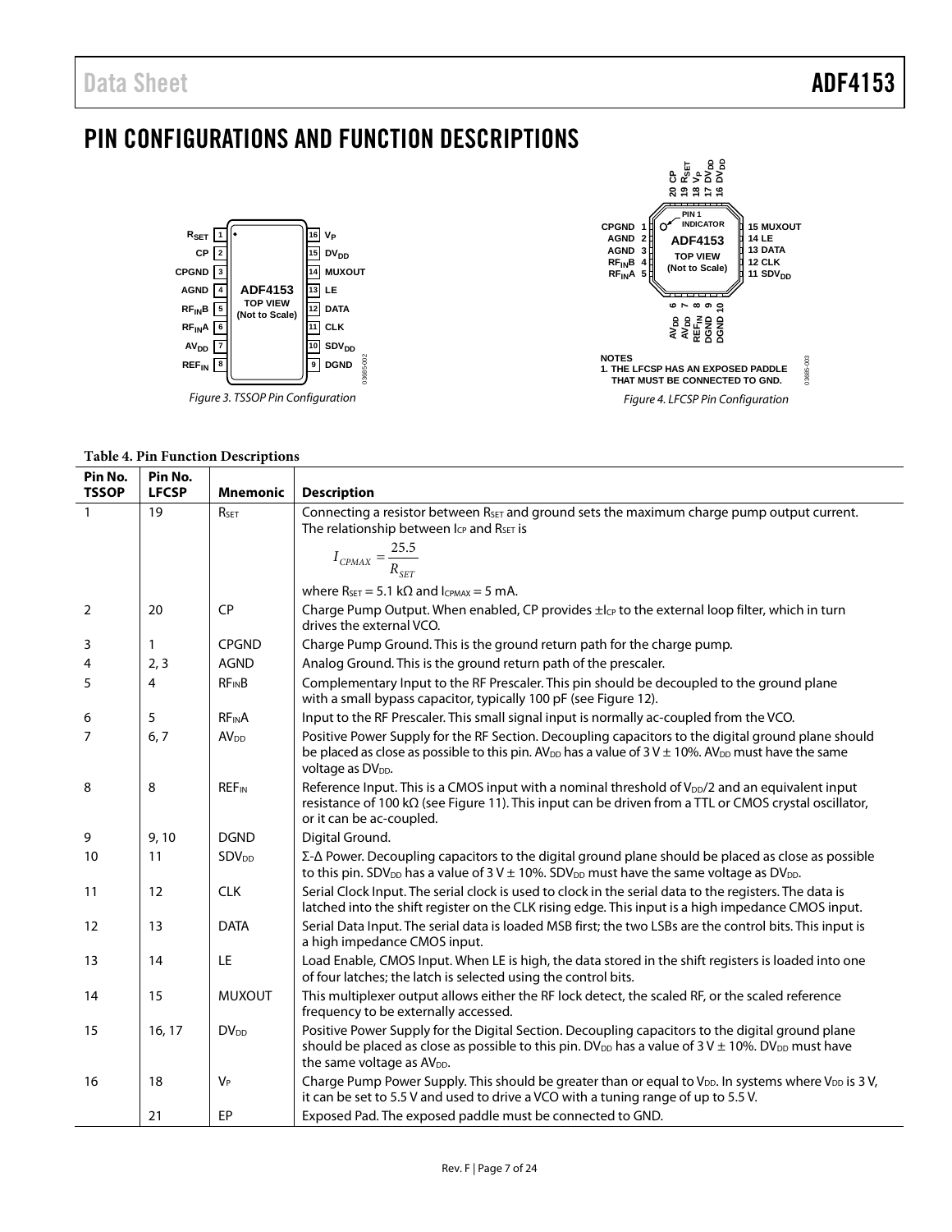## <span id="page-6-0"></span>PIN CONFIGURATIONS AND FUNCTION DESCRIPTIONS







#### <span id="page-6-4"></span><span id="page-6-3"></span><span id="page-6-2"></span><span id="page-6-1"></span>**Table 4. Pin Function Descriptions**

| Pin No.<br><b>TSSOP</b> | Pin No.<br><b>LFCSP</b> | <b>Mnemonic</b>         | <b>Description</b>                                                                                                                                                                                                                                                         |
|-------------------------|-------------------------|-------------------------|----------------------------------------------------------------------------------------------------------------------------------------------------------------------------------------------------------------------------------------------------------------------------|
| $\mathbf{1}$            | 19                      | RSET                    | Connecting a resistor between R <sub>SET</sub> and ground sets the maximum charge pump output current.<br>The relationship between I <sub>CP</sub> and R <sub>SET</sub> is                                                                                                 |
|                         |                         |                         |                                                                                                                                                                                                                                                                            |
|                         |                         |                         | $I_{CPMAX} = \frac{25.5}{R_{SET}}$                                                                                                                                                                                                                                         |
|                         |                         |                         | where $R_{\text{SET}} = 5.1 \text{ k}\Omega$ and $I_{\text{CPMAX}} = 5 \text{ mA}$ .                                                                                                                                                                                       |
| 2                       | 20                      | <b>CP</b>               | Charge Pump Output. When enabled, CP provides ±lcp to the external loop filter, which in turn<br>drives the external VCO.                                                                                                                                                  |
| 3                       | 1                       | <b>CPGND</b>            | Charge Pump Ground. This is the ground return path for the charge pump.                                                                                                                                                                                                    |
| 4                       | 2, 3                    | <b>AGND</b>             | Analog Ground. This is the ground return path of the prescaler.                                                                                                                                                                                                            |
| 5                       | 4                       | <b>RFINB</b>            | Complementary Input to the RF Prescaler. This pin should be decoupled to the ground plane<br>with a small bypass capacitor, typically 100 pF (see Figure 12).                                                                                                              |
| 6                       | 5                       | <b>RFINA</b>            | Input to the RF Prescaler. This small signal input is normally ac-coupled from the VCO.                                                                                                                                                                                    |
| 7                       | 6, 7                    | AV <sub>DD</sub>        | Positive Power Supply for the RF Section. Decoupling capacitors to the digital ground plane should<br>be placed as close as possible to this pin. AV <sub>DD</sub> has a value of $3V \pm 10\%$ . AV <sub>DD</sub> must have the same<br>voltage as DV <sub>DD</sub> .     |
| 8                       | 8                       | <b>REF<sub>IN</sub></b> | Reference Input. This is a CMOS input with a nominal threshold of $V_{\text{DD}}/2$ and an equivalent input<br>resistance of 100 k $\Omega$ (see Figure 11). This input can be driven from a TTL or CMOS crystal oscillator,<br>or it can be ac-coupled.                   |
| 9                       | 9, 10                   | <b>DGND</b>             | Digital Ground.                                                                                                                                                                                                                                                            |
| 10                      | 11                      | <b>SDV<sub>DD</sub></b> | Σ-Δ Power. Decoupling capacitors to the digital ground plane should be placed as close as possible<br>to this pin. SDV <sub>DD</sub> has a value of $3 V \pm 10$ %. SDV <sub>DD</sub> must have the same voltage as DV <sub>DD</sub> .                                     |
| 11                      | 12                      | <b>CLK</b>              | Serial Clock Input. The serial clock is used to clock in the serial data to the registers. The data is<br>latched into the shift register on the CLK rising edge. This input is a high impedance CMOS input.                                                               |
| 12                      | 13                      | <b>DATA</b>             | Serial Data Input. The serial data is loaded MSB first; the two LSBs are the control bits. This input is<br>a high impedance CMOS input.                                                                                                                                   |
| 13                      | 14                      | LE                      | Load Enable, CMOS Input. When LE is high, the data stored in the shift registers is loaded into one<br>of four latches; the latch is selected using the control bits.                                                                                                      |
| 14                      | 15                      | <b>MUXOUT</b>           | This multiplexer output allows either the RF lock detect, the scaled RF, or the scaled reference<br>frequency to be externally accessed.                                                                                                                                   |
| 15                      | 16, 17                  | <b>DV<sub>DD</sub></b>  | Positive Power Supply for the Digital Section. Decoupling capacitors to the digital ground plane<br>should be placed as close as possible to this pin. DV <sub>DD</sub> has a value of 3 V $\pm$ 10%. DV <sub>DD</sub> must have<br>the same voltage as AV <sub>DD</sub> . |
| 16                      | 18                      | $V_P$                   | Charge Pump Power Supply. This should be greater than or equal to $V_{DD}$ . In systems where $V_{DD}$ is 3V,<br>it can be set to 5.5 V and used to drive a VCO with a tuning range of up to 5.5 V.                                                                        |
|                         | 21                      | EP                      | Exposed Pad. The exposed paddle must be connected to GND.                                                                                                                                                                                                                  |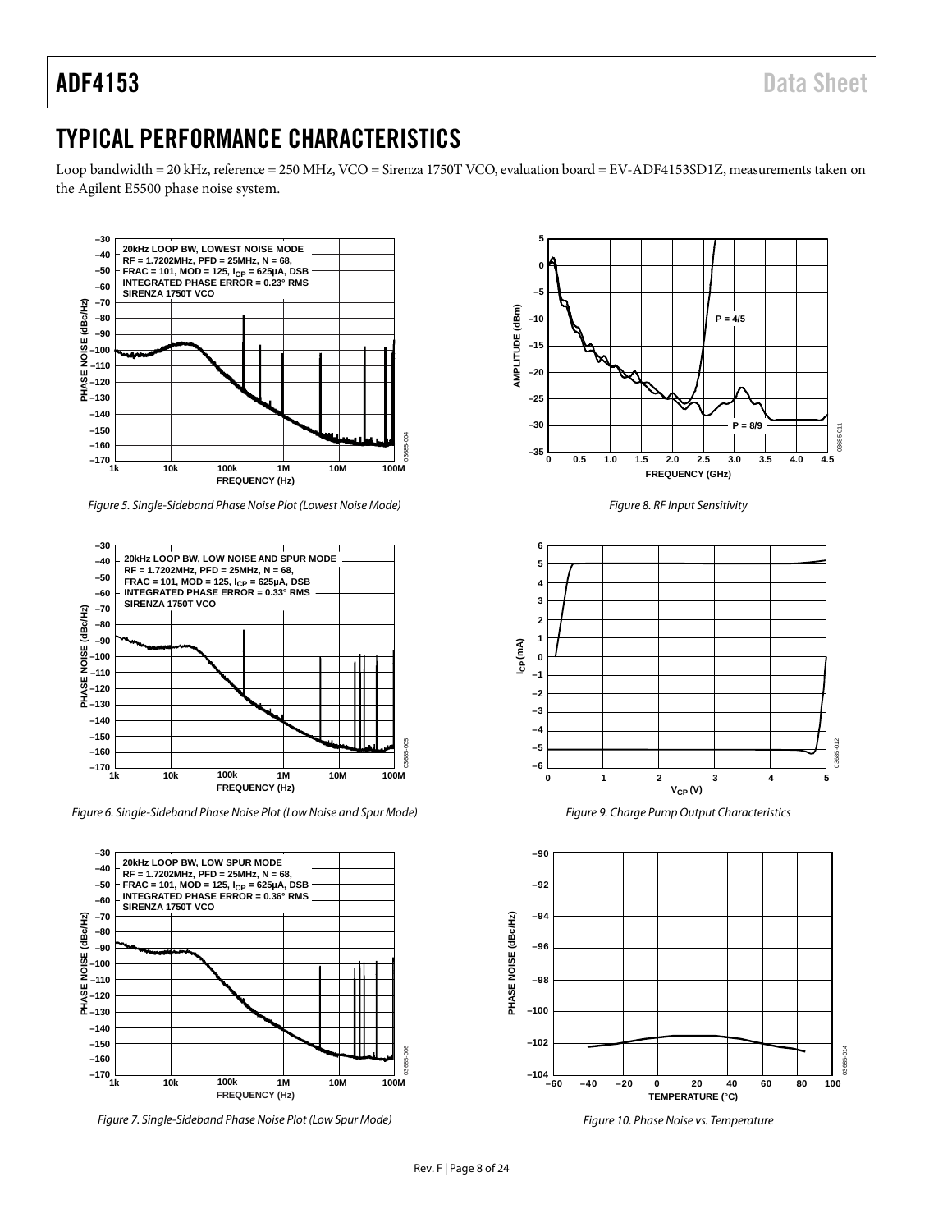### <span id="page-7-0"></span>TYPICAL PERFORMANCE CHARACTERISTICS

Loop bandwidth = 20 kHz, reference = 250 MHz, VCO = Sirenza 1750T VCO, evaluation board = EV-ADF4153SD1Z, measurements taken on the Agilent E5500 phase noise system.



*Figure 5. Single-Sideband Phase Noise Plot (Lowest Noise Mode)*



*Figure 6. Single-Sideband Phase Noise Plot (Low Noise and Spur Mode)*



*Figure 7. Single-Sideband Phase Noise Plot (Low Spur Mode)*







*Figure 9. Charge Pump Output Characteristics*



*Figure 10. Phase Noise vs. Temperature*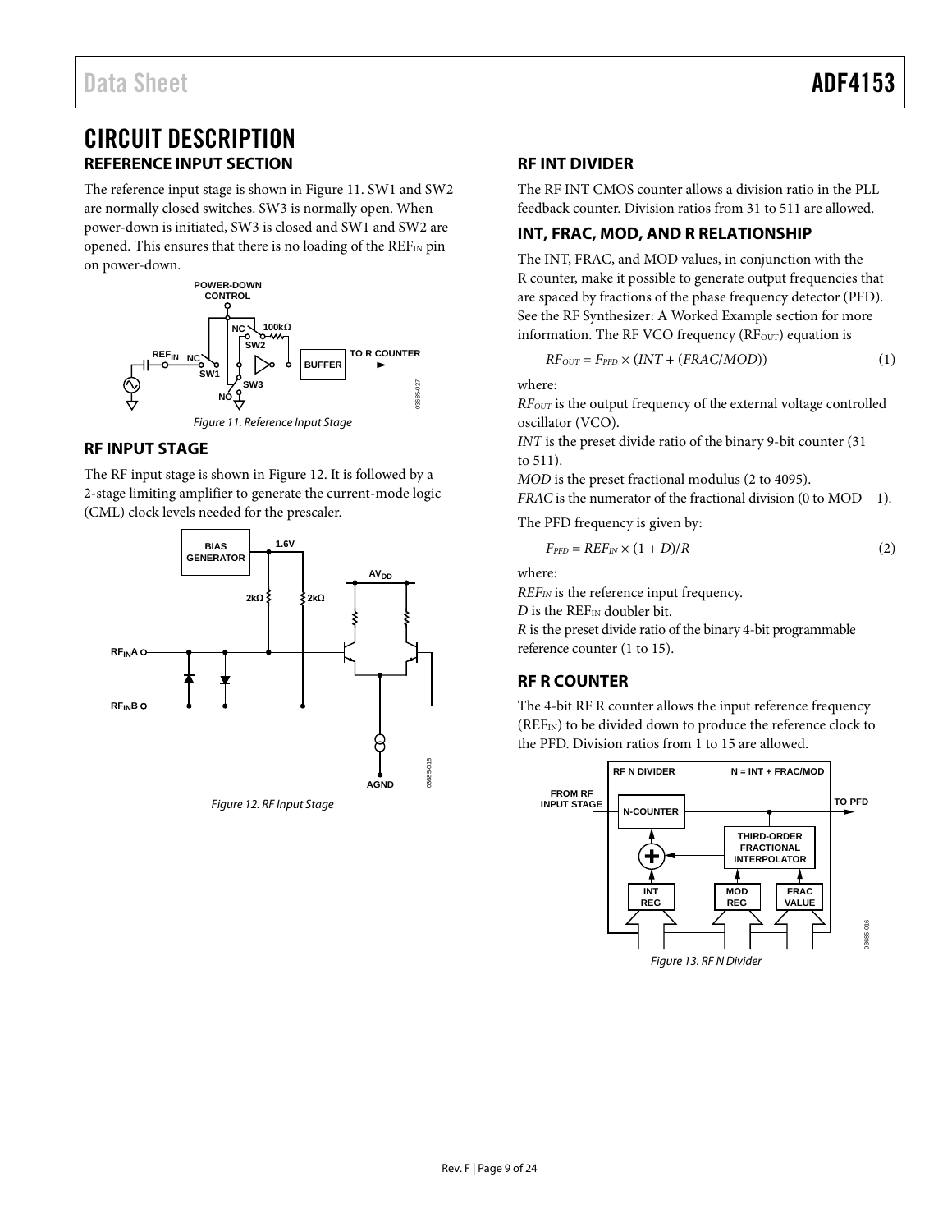### <span id="page-8-0"></span>CIRCUIT DESCRIPTION **REFERENCE INPUT SECTION**

<span id="page-8-1"></span>The reference input stage is shown i[n Figure 11.](#page-8-7) SW1 and SW2 are normally closed switches. SW3 is normally open. When power-down is initiated, SW3 is closed and SW1 and SW2 are opened. This ensures that there is no loading of the  $REF_{IN}$  pin on power-down.



#### *Figure 11. Reference Input Stage*

#### <span id="page-8-7"></span><span id="page-8-2"></span>**RF INPUT STAGE**

The RF input stage is shown in [Figure 12.](#page-8-6) It is followed by a 2-stage limiting amplifier to generate the current-mode logic (CML) clock levels needed for the prescaler.

<span id="page-8-6"></span>

#### <span id="page-8-3"></span>**RF INT DIVIDER**

The RF INT CMOS counter allows a division ratio in the PLL feedback counter. Division ratios from 31 to 511 are allowed.

#### <span id="page-8-4"></span>**INT, FRAC, MOD, AND R RELATIONSHIP**

The INT, FRAC, and MOD values, in conjunction with the R counter, make it possible to generate output frequencies that are spaced by fractions of the phase frequency detector (PFD). See the [RF Synthesizer: A Worked Example](#page-17-1) section for more information. The RF VCO frequency ( $RF_{OUT}$ ) equation is

$$
RF_{OUT} = F_{PFD} \times (INT + (FRAC/MOD))
$$
\n(1)

where:

*RFOUT* is the output frequency of the external voltage controlled oscillator (VCO).

*INT* is the preset divide ratio of the binary 9-bit counter (31 to 511).

*MOD* is the preset fractional modulus (2 to 4095).

*FRAC* is the numerator of the fractional division (0 to MOD − 1).

The PFD frequency is given by:

$$
F_{PFD} = REF_{IN} \times (1+D)/R
$$
 (2)

where:

*REFIN* is the reference input frequency.

*D* is the REF<sub>IN</sub> doubler bit.

*R* is the preset divide ratio of the binary 4-bit programmable reference counter (1 to 15).

#### <span id="page-8-5"></span>**RF R COUNTER**

The 4-bit RF R counter allows the input reference frequency (REF<sub>IN</sub>) to be divided down to produce the reference clock to the PFD. Division ratios from 1 to 15 are allowed.

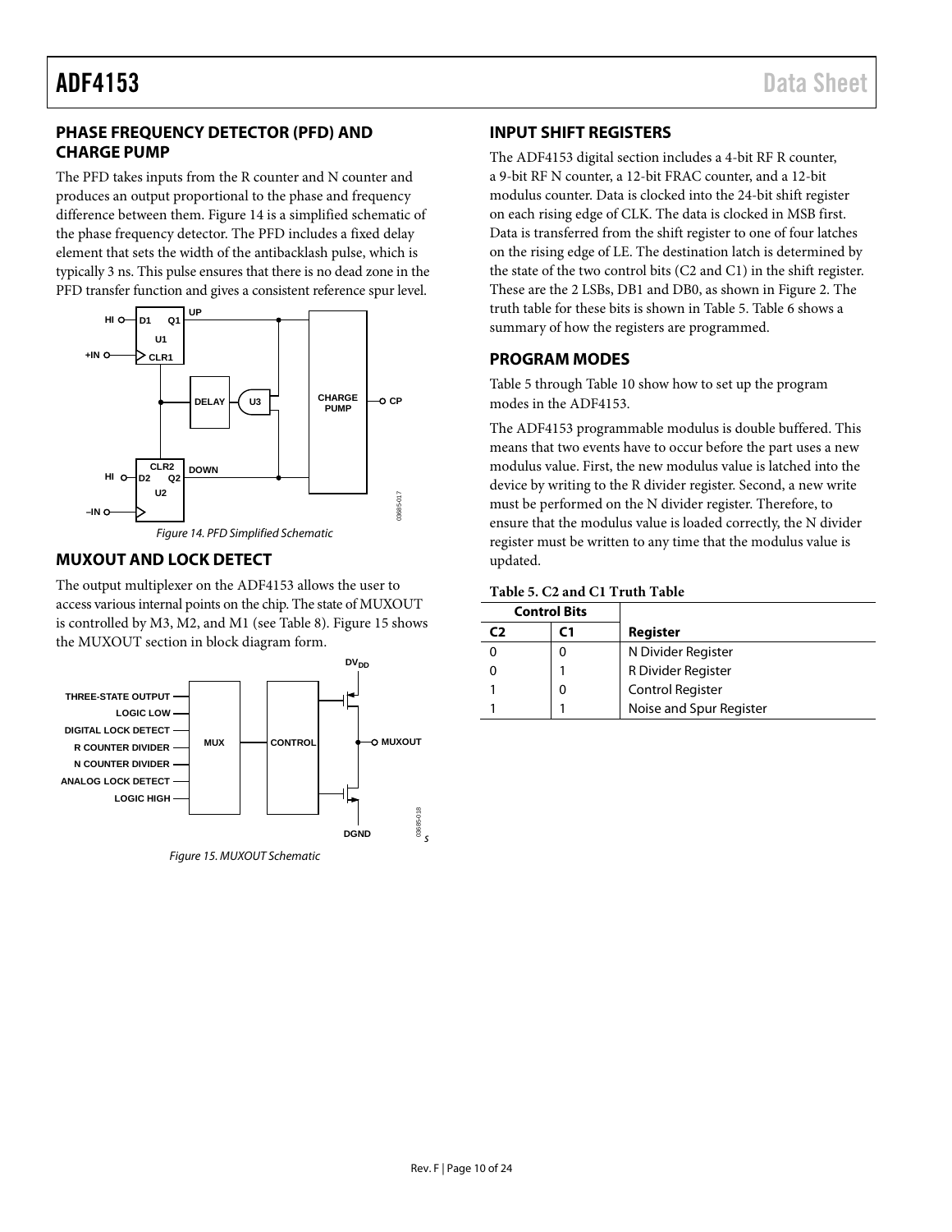#### <span id="page-9-0"></span>**PHASE FREQUENCY DETECTOR (PFD) AND CHARGE PUMP**

The PFD takes inputs from the R counter and N counter and produces an output proportional to the phase and frequency difference between them. [Figure 14](#page-9-4) is a simplified schematic of the phase frequency detector. The PFD includes a fixed delay element that sets the width of the antibacklash pulse, which is typically 3 ns. This pulse ensures that there is no dead zone in the PFD transfer function and gives a consistent reference spur level.



#### <span id="page-9-4"></span><span id="page-9-1"></span>**MUXOUT AND LOCK DETECT**

The output multiplexer on the ADF4153 allows the user to access various internal points on the chip. The state of MUXOUT is controlled by M3, M2, and M1 (see [Table 8\)](#page-12-0)[. Figure 15](#page-9-5) shows the MUXOUT section in block diagram form.



<span id="page-9-5"></span>*Figure 15. MUXOUT Schematic*

#### <span id="page-9-2"></span>**INPUT SHIFT REGISTERS**

The ADF4153 digital section includes a 4-bit RF R counter, a 9-bit RF N counter, a 12-bit FRAC counter, and a 12-bit modulus counter. Data is clocked into the 24-bit shift register on each rising edge of CLK. The data is clocked in MSB first. Data is transferred from the shift register to one of four latches on the rising edge of LE. The destination latch is determined by the state of the two control bits (C2 and C1) in the shift register. These are the 2 LSBs, DB1 and DB0, as shown in [Figure 2.](#page-4-1) The truth table for these bits is shown in [Table 5.](#page-9-6) [Table 6](#page-10-0) shows a summary of how the registers are programmed.

#### <span id="page-9-3"></span>**PROGRAM MODES**

[Table 5](#page-9-6) through [Table 10](#page-14-0) show how to set up the program modes in the ADF4153.

The ADF4153 programmable modulus is double buffered. This means that two events have to occur before the part uses a new modulus value. First, the new modulus value is latched into the device by writing to the R divider register. Second, a new write must be performed on the N divider register. Therefore, to ensure that the modulus value is loaded correctly, the N divider register must be written to any time that the modulus value is updated.

#### <span id="page-9-6"></span>**Table 5. C2 and C1 Truth Table**

|    | <b>Control Bits</b> |                         |
|----|---------------------|-------------------------|
| C2 | C 1                 | Register                |
|    |                     | N Divider Register      |
|    |                     | R Divider Register      |
|    |                     | <b>Control Register</b> |
|    |                     | Noise and Spur Register |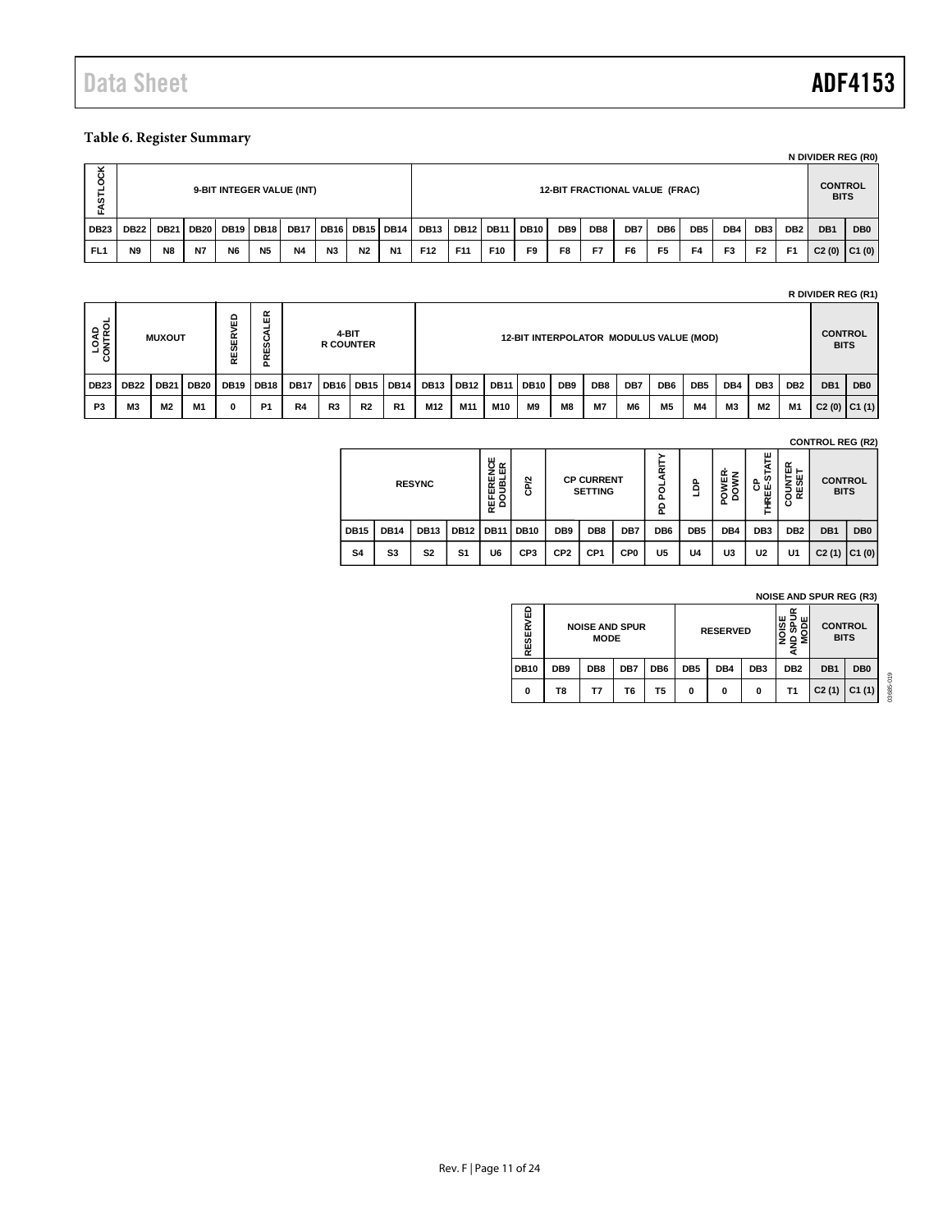### <span id="page-10-0"></span>**Table 6. Register Summary**

|                      |                                                                        |    |    |                |           |           |                |                |           |                  |                 |     |     |     |                                       |                 |                |     |                |                 |                               | N DIVIDER REG (R0) |  |
|----------------------|------------------------------------------------------------------------|----|----|----------------|-----------|-----------|----------------|----------------|-----------|------------------|-----------------|-----|-----|-----|---------------------------------------|-----------------|----------------|-----|----------------|-----------------|-------------------------------|--------------------|--|
| ਠ<br><b>in</b><br>5. | 9-BIT INTEGER VALUE (INT)                                              |    |    |                |           |           |                |                |           |                  |                 |     |     |     | <b>12-BIT FRACTIONAL VALUE (FRAC)</b> |                 |                |     |                |                 | <b>CONTROL</b><br><b>BITS</b> |                    |  |
| <b>DB23</b>          | DB21   DB20   DB19   DB18   DB17   DB16   DB15   DB14  <br><b>DB22</b> |    |    |                |           |           |                | <b>DB13</b>    |           | <b>DB12 DB11</b> | DB10            | DB9 | DB8 | DB7 | DB6                                   | DB <sub>5</sub> | DB4            | DB3 | DB2            | DB <sub>1</sub> | DB <sub>0</sub>               |                    |  |
| FL <sub>1</sub>      | N <sub>9</sub>                                                         | N8 | N7 | N <sub>6</sub> | <b>N5</b> | <b>N4</b> | N <sub>3</sub> | N <sub>2</sub> | <b>N1</b> | F <sub>12</sub>  | F <sub>11</sub> | F10 | F9  | F8  | F7                                    | F6              | F <sub>5</sub> | F4  | F <sub>3</sub> | F <sub>2</sub>  | F <sub>1</sub>                | $C2(0)$ $C1(0)$    |  |

#### **R DIVIDER REG (R1)**

| <b>LOAD</b><br>QNTROL<br>$\circ$ |             | <b>MUXOUT</b> |             | $\circ$<br>面<br><b>RESER</b> | ≃<br>ш<br>ဖ<br>ш<br>≃<br>൨ |             | 4-BIT<br><b>R COUNTER</b> |                                   |                |             |      |             | 12-BIT INTERPOLATOR MODULUS VALUE (MOD) |                 |           |                |                 |                 |           |                 |                 | <b>CONTROL</b><br><b>BITS</b> |     |
|----------------------------------|-------------|---------------|-------------|------------------------------|----------------------------|-------------|---------------------------|-----------------------------------|----------------|-------------|------|-------------|-----------------------------------------|-----------------|-----------|----------------|-----------------|-----------------|-----------|-----------------|-----------------|-------------------------------|-----|
| <b>DB23</b>                      | <b>DB22</b> | <b>DB21</b>   | <b>DB20</b> |                              | <b>DB19 DB18</b>           | <b>DB17</b> |                           | DB <sub>16</sub> DB <sub>15</sub> | <b>DB14</b>    | <b>DB13</b> | DB12 | <b>DB11</b> | <b>DB10</b>                             | DB <sub>9</sub> | DB8       | DB7            | DB <sub>6</sub> | DB <sub>5</sub> | DB4       | DB <sub>3</sub> | DB <sub>2</sub> | DB <sub>1</sub>               | DB0 |
| P <sub>3</sub>                   | <b>M3</b>   | M2            | M1          | 0                            | P <sub>1</sub>             | R4          | R3                        | <b>R2</b>                         | R <sub>1</sub> | M12         | M11  | M10         | M9                                      | M8              | <b>M7</b> | M <sub>6</sub> | M5              | M4              | <b>M3</b> | M2              | M1              | C2(0)  C1(1)                  |     |

**CONTROL REG (R2)**

|             |             | <b>RESYNC</b>  |             | ш<br>œ<br>ō<br>ш<br>z<br>ш<br>희<br>$\alpha$<br>뿐<br>ಠ<br>쁂<br>$\Delta$ | CP/2            |                 | <b>CP CURRENT</b><br><b>SETTING</b> |                 | 듩<br>ď<br>O<br>Ő.<br>윤 | ê               | <b>OWER-</b><br>DOWN | ш<br><b>STATI</b><br>8 교<br>THREI | COUNTER<br>RESET | <b>CONTROL</b><br><b>BITS</b> |                 |
|-------------|-------------|----------------|-------------|------------------------------------------------------------------------|-----------------|-----------------|-------------------------------------|-----------------|------------------------|-----------------|----------------------|-----------------------------------|------------------|-------------------------------|-----------------|
| <b>DB15</b> | <b>DB14</b> | <b>DB13</b>    | <b>DB12</b> | <b>DB11</b>                                                            | <b>DB10</b>     | DB <sub>9</sub> | DB <sub>8</sub>                     | DB7             | DB <sub>6</sub>        | DB <sub>5</sub> | DB4                  | DB <sub>3</sub>                   | DB <sub>2</sub>  | DB <sub>1</sub>               | DB <sub>0</sub> |
| S4          | S3          | S <sub>2</sub> | S1          | U6                                                                     | CP <sub>3</sub> | CP <sub>2</sub> | CP <sub>1</sub>                     | CP <sub>0</sub> | U5                     | U4              | U3                   | U <sub>2</sub>                    | U1               | C2(1)                         | C1(0)           |

#### **NOISE AND SPUR REG (R3)**

| 面<br>ERVI<br>RESI |                 | <b>NOISE AND SPUR</b><br><b>MODE</b> |     |                 |                 | <b>RESERVED</b> |                 | ш<br>៰          | <b>CONTROL</b><br><b>BITS</b> |                 |                 |
|-------------------|-----------------|--------------------------------------|-----|-----------------|-----------------|-----------------|-----------------|-----------------|-------------------------------|-----------------|-----------------|
| <b>DB10</b>       | DB <sub>9</sub> | DB8                                  | DB7 | DB <sub>6</sub> | DB <sub>5</sub> | DB4             | DB <sub>3</sub> | DB <sub>2</sub> | DB1                           | DB <sub>0</sub> | O <sub>19</sub> |
| $\mathbf{0}$      | Τ8              | Τ7                                   | Т6  | Τ5              | 0               | 0               | 0               | Τ1              | C2(1)                         | C1(1)           | 03685           |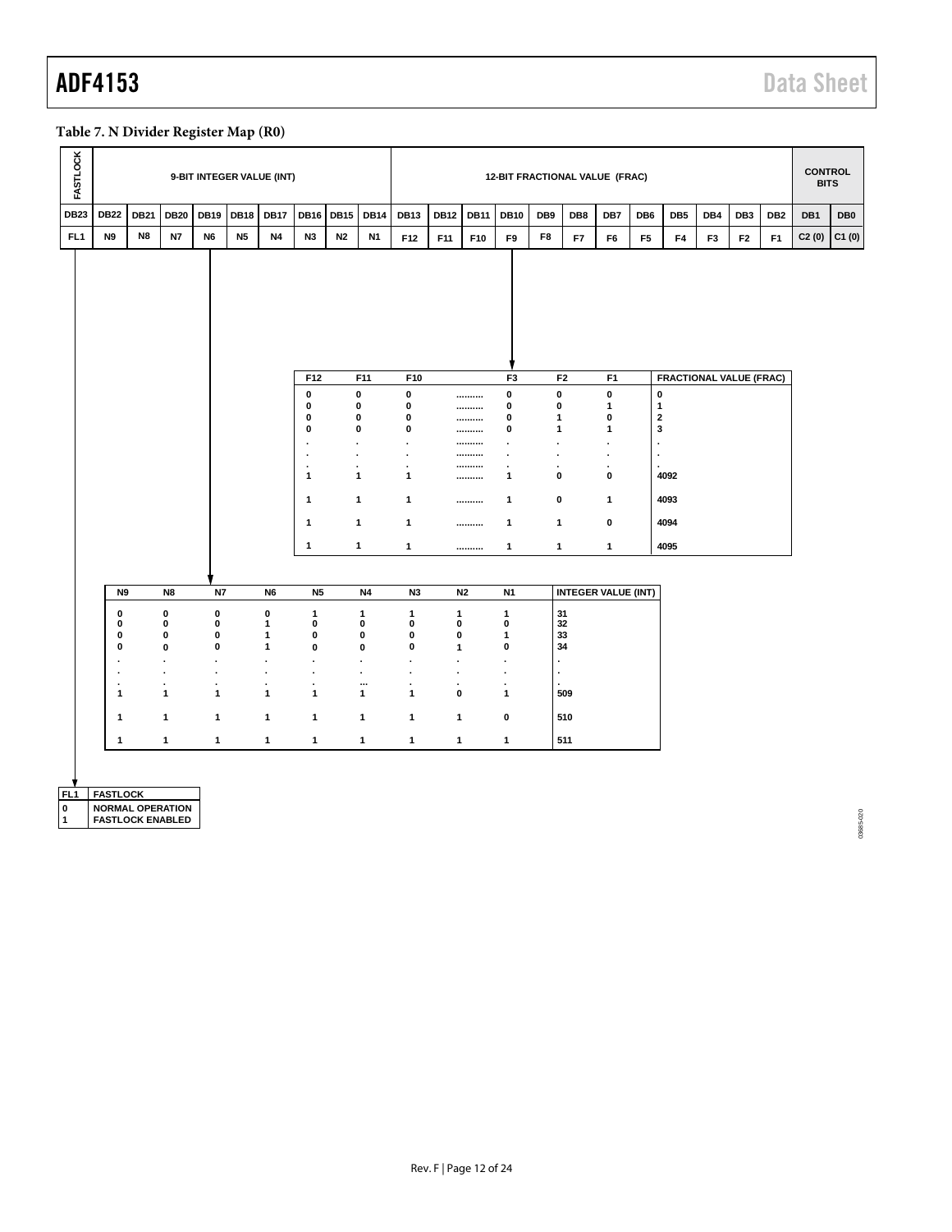### <span id="page-11-0"></span>**Table 7. N Divider Register Map (R0)**

| <b>FASTLOCK</b> |                 |                         |              | 9-BIT INTEGER VALUE (INT) |             |                                  |                           |                        |              |                        |             |                |                        |                           | 12-BIT FRACTIONAL VALUE (FRAC) |                           |                              |                                |                |                 |                 | <b>CONTROL</b><br><b>BITS</b> |                 |
|-----------------|-----------------|-------------------------|--------------|---------------------------|-------------|----------------------------------|---------------------------|------------------------|--------------|------------------------|-------------|----------------|------------------------|---------------------------|--------------------------------|---------------------------|------------------------------|--------------------------------|----------------|-----------------|-----------------|-------------------------------|-----------------|
| <b>DB23</b>     | <b>DB22</b>     | <b>DB21</b>             | <b>DB20</b>  | <b>DB19</b>               | <b>DB18</b> | <b>DB17</b>                      | <b>DB16</b>               | <b>DB15</b>            | <b>DB14</b>  | <b>DB13</b>            | <b>DB12</b> | <b>DB11</b>    | <b>DB10</b>            | DB9                       | DB8                            | DB7                       | DB6                          | DB <sub>5</sub>                | DB4            | DB <sub>3</sub> | DB <sub>2</sub> | DB1                           | DB <sub>0</sub> |
| FL <sub>1</sub> | N9              | N8                      | <b>N7</b>    | N <sub>6</sub>            | <b>N5</b>   | <b>N4</b>                        | N3                        | N2                     | <b>N1</b>    | F12                    | F11         | F10            | F9                     | F8                        | F7                             | F6                        | F <sub>5</sub>               | F4                             | F <sub>3</sub> | F <sub>2</sub>  | F <sub>1</sub>  | C2(0)                         | C1(0)           |
|                 |                 |                         |              |                           |             |                                  |                           |                        |              |                        |             |                |                        |                           |                                |                           |                              |                                |                |                 |                 |                               |                 |
|                 |                 |                         |              |                           |             |                                  | F12                       |                        | F11          | F10                    |             |                | F <sub>3</sub>         |                           | F <sub>2</sub>                 | F <sub>1</sub>            |                              | <b>FRACTIONAL VALUE (FRAC)</b> |                |                 |                 |                               |                 |
|                 |                 |                         |              |                           |             |                                  | 0<br>0                    | $\pmb{0}$<br>$\pmb{0}$ |              | $\pmb{0}$<br>$\pmb{0}$ |             | <br>           | $\pmb{0}$<br>$\pmb{0}$ | 0<br>0                    |                                | $\pmb{0}$<br>$\mathbf{1}$ | $\mathbf 0$<br>$\mathbf{1}$  |                                |                |                 |                 |                               |                 |
|                 |                 |                         |              |                           |             |                                  | 0<br>0                    | $\pmb{0}$<br>$\pmb{0}$ |              | $\pmb{0}$<br>$\pmb{0}$ |             | <br>           | $\pmb{0}$<br>$\bf{0}$  | 1<br>1                    |                                | 0<br>$\mathbf{1}$         | $\overline{\mathbf{2}}$<br>3 |                                |                |                 |                 |                               |                 |
|                 |                 |                         |              |                           |             |                                  | $\cdot$                   | $\cdot$                |              | $\cdot$                |             |                | $\cdot$                | $\cdot$                   |                                | $\cdot$                   | $\ddot{\phantom{a}}$         |                                |                |                 |                 |                               |                 |
|                 |                 |                         |              |                           |             |                                  | ×<br>$\ddot{\phantom{0}}$ | $\cdot$<br>$\cdot$     |              | $\cdot$<br>$\cdot$     |             | <br>           | $\cdot$<br>$\cdot$     | $\blacksquare$<br>$\cdot$ |                                | $\cdot$<br>٠              | $\overline{\phantom{a}}$     |                                |                |                 |                 |                               |                 |
|                 |                 |                         |              |                           |             |                                  | 1                         | $\mathbf{1}$           |              | 1                      |             |                | $\mathbf{1}$           | 0                         |                                | $\pmb{0}$                 |                              | 4092                           |                |                 |                 |                               |                 |
|                 |                 |                         |              |                           |             |                                  | 1                         | $\mathbf{1}$           |              | 1                      |             |                | 1                      | 0                         |                                | $\mathbf{1}$              |                              | 4093                           |                |                 |                 |                               |                 |
|                 |                 |                         |              |                           |             |                                  | $\mathbf{1}$              | $\mathbf{1}$           |              | $\mathbf{1}$           |             |                | $\mathbf{1}$           | 1                         |                                | $\mathbf 0$               |                              | 4094                           |                |                 |                 |                               |                 |
|                 |                 |                         |              |                           |             |                                  | 1                         |                        | 1            | 1                      |             |                | $\mathbf{1}$           | 1                         |                                | $\mathbf{1}$              |                              | 4095                           |                |                 |                 |                               |                 |
|                 |                 |                         |              |                           |             |                                  |                           |                        |              |                        |             |                |                        |                           |                                |                           |                              |                                |                |                 |                 |                               |                 |
|                 | N <sub>9</sub>  |                         | N8           | N7                        |             | N <sub>6</sub>                   | <b>N5</b>                 |                        | <b>N4</b>    | N <sub>3</sub>         |             | N <sub>2</sub> | N <sub>1</sub>         |                           | <b>INTEGER VALUE (INT)</b>     |                           |                              |                                |                |                 |                 |                               |                 |
|                 | 0               |                         | 0            | $\mathbf 0$               |             | $\mathbf 0$                      | $\mathbf{1}$              |                        | 1            | $\mathbf{1}$           | 1           |                | $\mathbf{1}$           |                           | 31                             |                           |                              |                                |                |                 |                 |                               |                 |
|                 | 0<br>0          |                         | 0<br>0       | $\pmb{0}$<br>$\mathbf 0$  |             | $\overline{1}$<br>$\mathbf{1}$   | $\mathbf 0$<br>$\pmb{0}$  |                        | 0<br>0       | $\pmb{0}$<br>$\pmb{0}$ | 0<br>0      |                | 0<br>$\mathbf{1}$      |                           | 32<br>33                       |                           |                              |                                |                |                 |                 |                               |                 |
|                 | 0               |                         | 0            | $\mathbf 0$               |             | $\mathbf{1}$                     | $\mathbf 0$               |                        | 0            | $\pmb{0}$              | 1           |                | 0                      |                           | 34                             |                           |                              |                                |                |                 |                 |                               |                 |
|                 | ٠<br>٠          |                         | ×<br>×       | ٠<br>٠                    |             | $\blacksquare$<br>$\blacksquare$ | $\cdot$<br>$\cdot$        |                        | ٠<br>ä,      | ٠<br>٠                 | ä,<br>ä,    |                | $\sim$<br>٠            |                           |                                |                           |                              |                                |                |                 |                 |                               |                 |
|                 | ٠               |                         | ٠            |                           |             | ٠                                | $\cdot$                   |                        |              | ٠                      | ٠           |                | ٠                      |                           |                                |                           |                              |                                |                |                 |                 |                               |                 |
|                 | 1               |                         | 1            | 1                         |             | $\mathbf{1}$                     | $\mathbf{1}$              |                        | 1            | $\mathbf{1}$           | 0           |                | $\mathbf{1}$           |                           | 509                            |                           |                              |                                |                |                 |                 |                               |                 |
|                 | 1               |                         | $\mathbf{1}$ | 1                         |             | $\mathbf{1}$                     | $\mathbf{1}$              |                        | $\mathbf{1}$ | $\mathbf{1}$           | 1           |                | $\pmb{0}$              |                           | 510                            |                           |                              |                                |                |                 |                 |                               |                 |
|                 | 1               |                         | $\mathbf{1}$ | $\mathbf{1}$              |             | $\mathbf{1}$                     | $\mathbf{1}$              |                        | $\mathbf{1}$ | $\mathbf{1}$           | 1           |                | $\mathbf{1}$           |                           | 511                            |                           |                              |                                |                |                 |                 |                               |                 |
|                 |                 |                         |              |                           |             |                                  |                           |                        |              |                        |             |                |                        |                           |                                |                           |                              |                                |                |                 |                 |                               |                 |
| FL <sub>1</sub> | <b>FASTLOCK</b> |                         |              |                           |             |                                  |                           |                        |              |                        |             |                |                        |                           |                                |                           |                              |                                |                |                 |                 |                               |                 |
| $\pmb{0}$       |                 | <b>NORMAL OPERATION</b> |              |                           |             |                                  |                           |                        |              |                        |             |                |                        |                           |                                |                           |                              |                                |                |                 |                 |                               |                 |
| 1               |                 | <b>FASTLOCK ENABLED</b> |              |                           |             |                                  |                           |                        |              |                        |             |                |                        |                           |                                |                           |                              |                                |                |                 |                 |                               | 03685-020       |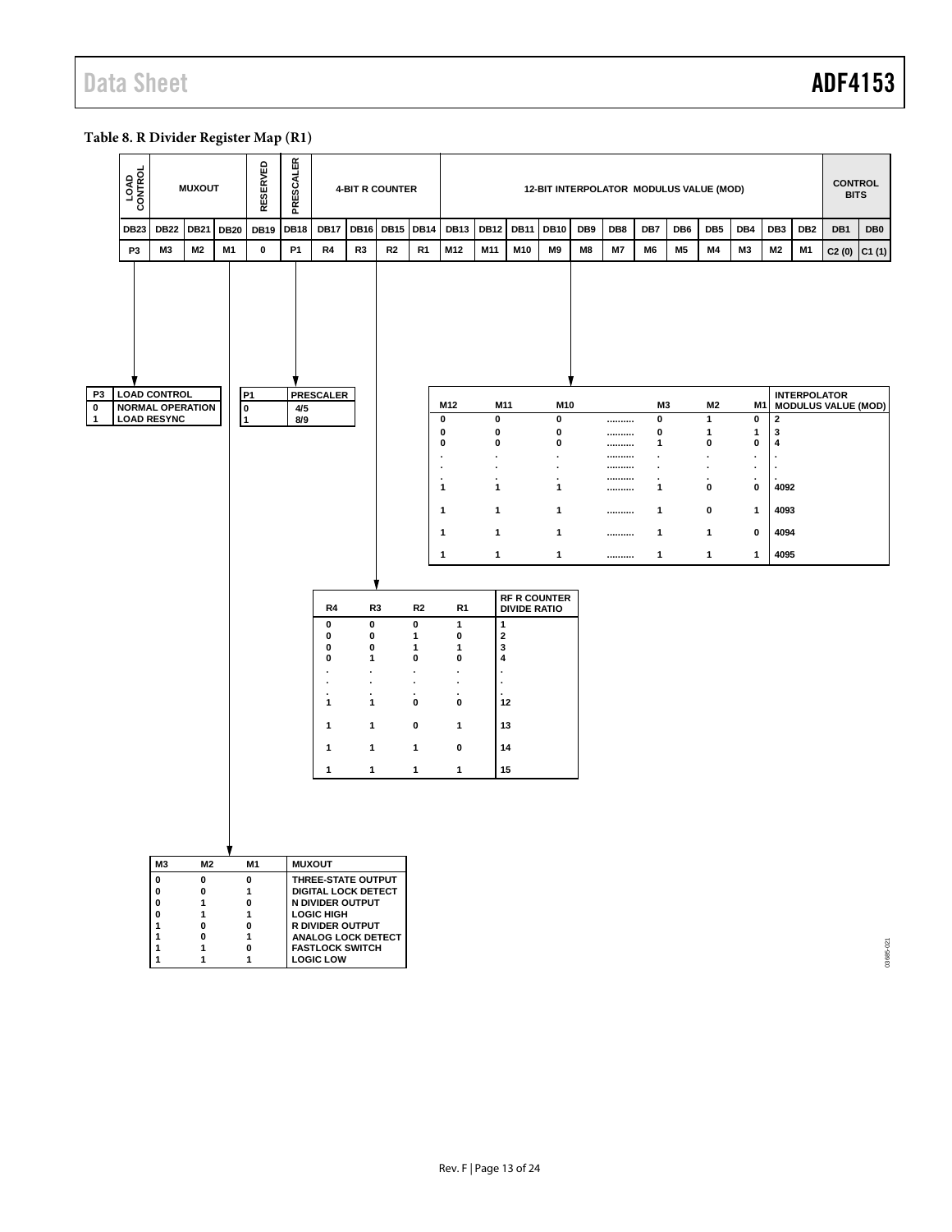#### <span id="page-12-0"></span>**Table 8. R Divider Register Map (R1)**

|                                   | LOAD<br>CONTROL |                                                                                            | <b>MUXOUT</b>                                                              |             | <b>RESERVED</b>                                                                        | PRESCALER   |                                                                                                                                                                    |                                                                                                                                   | <b>4-BIT R COUNTER</b> |                                                                                                                              |                                                                                                                                                                                             |                                                                                                                                                                                      |                                            | 12-BIT INTERPOLATOR MODULUS VALUE (MOD)                                                                                                |     |                                      |                                                                                          |                 |                                                                             |                                                                                               |                                                                                     |                     | <b>CONTROL</b><br><b>BITS</b> |                 |
|-----------------------------------|-----------------|--------------------------------------------------------------------------------------------|----------------------------------------------------------------------------|-------------|----------------------------------------------------------------------------------------|-------------|--------------------------------------------------------------------------------------------------------------------------------------------------------------------|-----------------------------------------------------------------------------------------------------------------------------------|------------------------|------------------------------------------------------------------------------------------------------------------------------|---------------------------------------------------------------------------------------------------------------------------------------------------------------------------------------------|--------------------------------------------------------------------------------------------------------------------------------------------------------------------------------------|--------------------------------------------|----------------------------------------------------------------------------------------------------------------------------------------|-----|--------------------------------------|------------------------------------------------------------------------------------------|-----------------|-----------------------------------------------------------------------------|-----------------------------------------------------------------------------------------------|-------------------------------------------------------------------------------------|---------------------|-------------------------------|-----------------|
|                                   | <b>DB23</b>     | <b>DB22</b>                                                                                | DB21                                                                       | <b>DB20</b> | <b>DB19</b>                                                                            | <b>DB18</b> | <b>DB17</b>                                                                                                                                                        | <b>DB16</b>                                                                                                                       | <b>DB15 DB14</b>       |                                                                                                                              | <b>DB13</b>                                                                                                                                                                                 | <b>DB12</b>                                                                                                                                                                          | <b>DB11</b>                                | <b>DB10</b>                                                                                                                            | DB9 | DB8                                  | DB7                                                                                      | DB <sub>6</sub> | DB <sub>5</sub>                                                             | DB4                                                                                           | DB <sub>3</sub>                                                                     | DB <sub>2</sub>     | DB1                           | DB <sub>0</sub> |
|                                   | P <sub>3</sub>  | ΜЗ                                                                                         | M2                                                                         | M1          | $\pmb{0}$                                                                              | <b>P1</b>   | R4                                                                                                                                                                 | R3                                                                                                                                | R2                     | R <sub>1</sub>                                                                                                               | M12                                                                                                                                                                                         | M11                                                                                                                                                                                  | M10                                        | M <sub>9</sub>                                                                                                                         | M8  | <b>M7</b>                            | M6                                                                                       | M <sub>5</sub>  | M4                                                                          | M3                                                                                            | M <sub>2</sub>                                                                      | M1                  | C2(0)                         | C1(1)           |
| P3<br>$\mathbf 0$<br>$\mathbf{1}$ |                 | <b>LOAD CONTROL</b><br><b>NORMAL OPERATION</b><br><b>LOAD RESYNC</b>                       |                                                                            |             | P <sub>1</sub><br>0<br>$\overline{\mathbf{1}}$                                         | 4/5<br>8/9  | <b>PRESCALER</b><br>R4<br>0<br>0<br>0<br>0<br>٠<br>$\cdot$<br>÷,<br>1<br>1<br>1<br>1                                                                               | R <sub>3</sub><br>$\bf{0}$<br>0<br>0<br>1<br>$\bullet$<br>$\cdot$<br>$\mathbf{1}$<br>$\mathbf{1}$<br>$\mathbf{1}$<br>$\mathbf{1}$ |                        | R <sub>2</sub><br>0<br>1<br>1<br>0<br>$\ddot{\phantom{0}}$<br>$\bullet$<br>$\cdot$<br>0<br>0<br>$\mathbf{1}$<br>$\mathbf{1}$ | M12<br>0<br>0<br>0<br>$\cdot$<br>$\cdot$<br>$\mathbf{1}$<br>$\mathbf{1}$<br>1<br>$\mathbf{1}$<br>R1<br>1<br>0<br>1<br>0<br>$\cdot$<br>$\cdot$<br>$\pmb{0}$<br>$\mathbf{1}$<br>$\bf{0}$<br>1 | M11<br>$\pmb{0}$<br>0<br>$\bf{0}$<br>$\cdot$<br>$\blacksquare$<br>$\cdot$<br>1<br>1<br>$\mathbf{1}$<br>1<br>$\mathbf{1}$<br>$\mathbf 2$<br>3<br>4<br>$\cdot$<br>12<br>13<br>14<br>15 | <b>RF R COUNTER</b><br><b>DIVIDE RATIO</b> | M10<br>0<br>$\pmb{0}$<br>$\pmb{0}$<br>$\blacksquare$<br>$\blacksquare$<br>$\cdot$<br>$\mathbf{1}$<br>1<br>$\mathbf{1}$<br>$\mathbf{1}$ |     | <br><br><br><br><br><br><br><br><br> | M3<br>0<br>0<br>1<br>$\cdot$<br>$\cdot$<br>$\blacksquare$<br>1<br>1<br>1<br>$\mathbf{1}$ |                 | M2<br>$\mathbf{1}$<br>1<br>0<br>$\cdot$<br>٠<br>0<br>0<br>1<br>$\mathbf{1}$ | M <sub>1</sub><br>0<br>1<br>0<br>$\cdot$<br>$\cdot$<br>0<br>$\mathbf{1}$<br>0<br>$\mathbf{1}$ | $\mathbf{2}$<br>3<br>4<br>$\cdot$<br>$\blacksquare$<br>4092<br>4093<br>4094<br>4095 | <b>INTERPOLATOR</b> | <b>MODULUS VALUE (MOD)</b>    |                 |
|                                   |                 | M3<br>$\pmb{0}$                                                                            | M2<br>0                                                                    |             | M1<br>$\pmb{0}$                                                                        |             | <b>MUXOUT</b><br>THREE-STATE OUTPUT                                                                                                                                |                                                                                                                                   |                        |                                                                                                                              |                                                                                                                                                                                             |                                                                                                                                                                                      |                                            |                                                                                                                                        |     |                                      |                                                                                          |                 |                                                                             |                                                                                               |                                                                                     |                     |                               |                 |
|                                   |                 | 0<br>$\pmb{0}$<br>$\bf{0}$<br>$\mathbf{1}$<br>$\mathbf{1}$<br>$\mathbf{1}$<br>$\mathbf{1}$ | 0<br>$\mathbf{1}$<br>$\mathbf{1}$<br>$\mathbf 0$<br>0<br>1<br>$\mathbf{1}$ |             | $\mathbf{1}$<br>$\pmb{0}$<br>$\mathbf{1}$<br>$\bf{0}$<br>1<br>$\bf{0}$<br>$\mathbf{1}$ |             | <b>DIGITAL LOCK DETECT</b><br>N DIVIDER OUTPUT<br><b>LOGIC HIGH</b><br>R DIVIDER OUTPUT<br><b>ANALOG LOCK DETECT</b><br><b>FASTLOCK SWITCH</b><br><b>LOGIC LOW</b> |                                                                                                                                   |                        |                                                                                                                              |                                                                                                                                                                                             |                                                                                                                                                                                      |                                            |                                                                                                                                        |     |                                      |                                                                                          |                 |                                                                             |                                                                                               |                                                                                     |                     |                               | 13685-021       |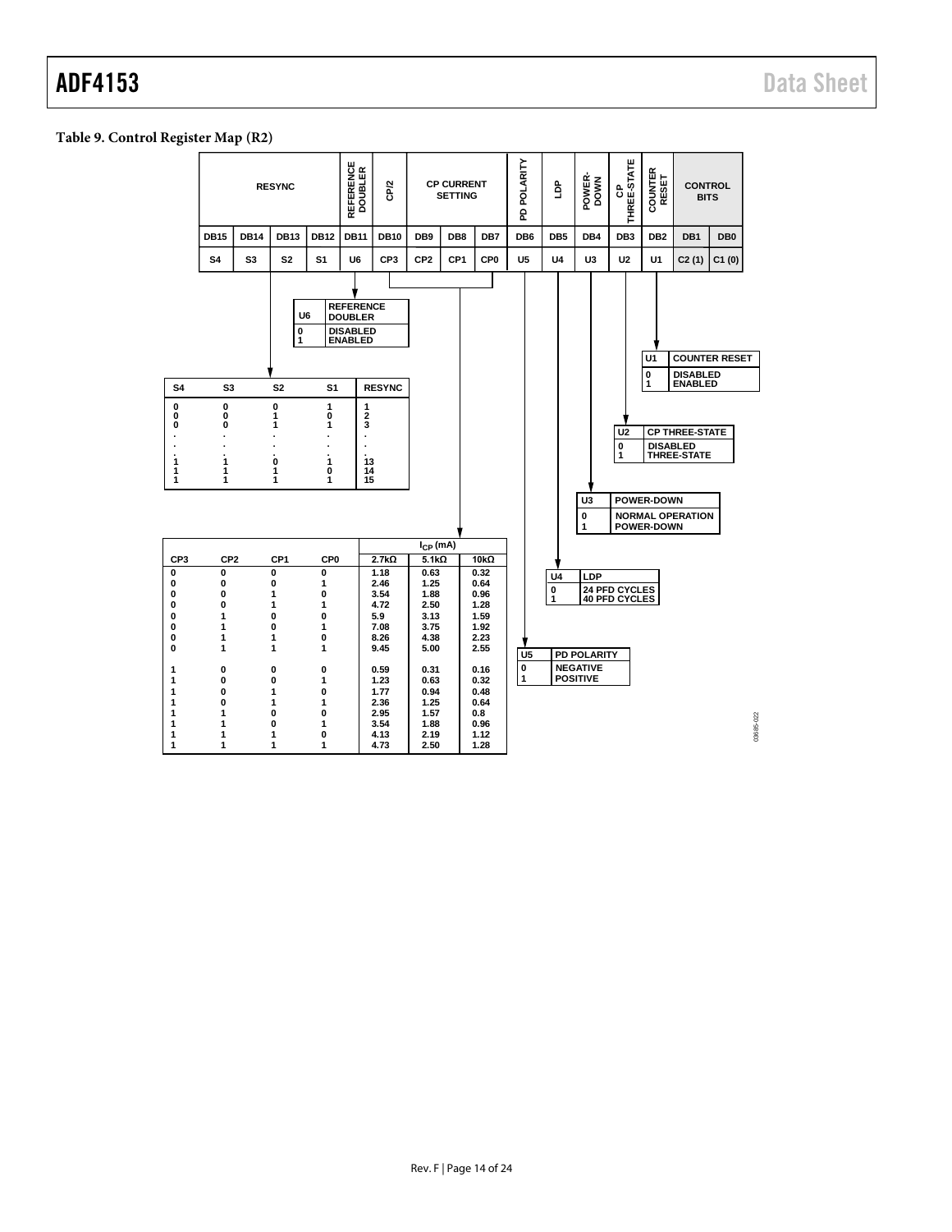### <span id="page-13-0"></span>**Table 9. Control Register Map (R2)**

|                                                                               |                                                                        |             | <b>RESYNC</b>                                                                               |                                                                        | REFERENCE<br>DOUBLER                                                                          | CP/2                                                                                                |                                                                                      | <b>CP CURRENT</b><br><b>SETTING</b> |                                                                                                     | POLARITY<br>윤            | å               | POWER-<br>DOWN                                                  | THREE-STATE<br>ဗိ                     | COUNTER<br>RESET                            | <b>CONTROL</b><br><b>BITS</b>                                   |                 |           |
|-------------------------------------------------------------------------------|------------------------------------------------------------------------|-------------|---------------------------------------------------------------------------------------------|------------------------------------------------------------------------|-----------------------------------------------------------------------------------------------|-----------------------------------------------------------------------------------------------------|--------------------------------------------------------------------------------------|-------------------------------------|-----------------------------------------------------------------------------------------------------|--------------------------|-----------------|-----------------------------------------------------------------|---------------------------------------|---------------------------------------------|-----------------------------------------------------------------|-----------------|-----------|
|                                                                               | <b>DB15</b>                                                            | <b>DB14</b> | <b>DB13</b>                                                                                 | <b>DB12</b>                                                            | <b>DB11</b>                                                                                   | <b>DB10</b>                                                                                         | DB <sub>9</sub>                                                                      | DB <sub>8</sub>                     | DB7                                                                                                 | DB <sub>6</sub>          | DB <sub>5</sub> | DB4                                                             | DB <sub>3</sub>                       | DB <sub>2</sub>                             | DB1                                                             | DB <sub>0</sub> |           |
|                                                                               | S <sub>4</sub>                                                         | S3          | S <sub>2</sub>                                                                              | S <sub>1</sub>                                                         | U6                                                                                            | CP <sub>3</sub>                                                                                     | CP <sub>2</sub>                                                                      | CP <sub>1</sub>                     | CP <sub>0</sub>                                                                                     | U5                       | <b>U4</b>       | U3                                                              | U <sub>2</sub>                        | U <sub>1</sub>                              | C2(1)                                                           | C1(0)           |           |
|                                                                               |                                                                        |             |                                                                                             | U6<br>0<br>1                                                           | <b>REFERENCE</b><br><b>DOUBLER</b><br><b>DISABLED</b><br><b>ENABLED</b>                       |                                                                                                     |                                                                                      |                                     |                                                                                                     |                          |                 |                                                                 |                                       | U <sub>1</sub><br>0                         | <b>COUNTER RESET</b><br><b>DISABLED</b>                         |                 |           |
| S4                                                                            | S <sub>3</sub>                                                         |             | S <sub>2</sub>                                                                              | S <sub>1</sub>                                                         |                                                                                               | <b>RESYNC</b>                                                                                       |                                                                                      |                                     |                                                                                                     |                          |                 |                                                                 |                                       | 1                                           | <b>ENABLED</b>                                                  |                 |           |
| 0<br>0<br>0<br>ä,<br>ï<br>1<br>1<br>1                                         | $\mathbf 0$<br>0<br>$\mathbf 0$<br>٠<br>1<br>1<br>1                    |             | 0<br>1<br>1<br>0<br>1<br>1                                                                  | 1<br>0<br>1<br>ä<br>ï<br>1<br>0<br>1                                   | 1<br>$\overline{\mathbf{c}}$<br>3<br>$\blacksquare$<br>$\ddot{\phantom{0}}$<br>13<br>14<br>15 |                                                                                                     |                                                                                      |                                     |                                                                                                     |                          |                 | U3<br>0<br>1                                                    | U <sub>2</sub><br>0<br>1              | <b>DISABLED</b><br>POWER-DOWN<br>POWER-DOWN | <b>CP THREE-STATE</b><br>THREE-STATE<br><b>NORMAL OPERATION</b> |                 |           |
|                                                                               |                                                                        |             |                                                                                             |                                                                        |                                                                                               |                                                                                                     | $I_{CP}$ (mA)<br>$5.1k\Omega$                                                        |                                     |                                                                                                     |                          |                 |                                                                 |                                       |                                             |                                                                 |                 |           |
| CP <sub>3</sub><br>0<br>0<br>0<br>$\bf{0}$<br>0<br>0<br>0<br>0<br>1<br>1<br>1 | CP <sub>2</sub><br>0<br>0<br>0<br>0<br>1<br>1<br>1<br>1<br>0<br>0<br>0 |             | CP <sub>1</sub><br>0<br>0<br>1<br>1<br>0<br>$\mathbf 0$<br>1<br>1<br>0<br>$\mathbf{0}$<br>1 | CP <sub>0</sub><br>0<br>1<br>0<br>1<br>0<br>1<br>0<br>1<br>0<br>1<br>0 |                                                                                               | $2.7k\Omega$<br>1.18<br>2.46<br>3.54<br>4.72<br>5.9<br>7.08<br>8.26<br>9.45<br>0.59<br>1.23<br>1.77 | 0.63<br>1.25<br>1.88<br>2.50<br>3.13<br>3.75<br>4.38<br>5.00<br>0.31<br>0.63<br>0.94 |                                     | $10k\Omega$<br>0.32<br>0.64<br>0.96<br>1.28<br>1.59<br>1.92<br>2.23<br>2.55<br>0.16<br>0.32<br>0.48 | U <sub>5</sub><br>0<br>1 | U4<br>0<br>1    | LDP<br><b>PD POLARITY</b><br><b>NEGATIVE</b><br><b>POSITIVE</b> | 24 PFD CYCLES<br><b>40 PFD CYCLES</b> |                                             |                                                                 |                 |           |
| 1<br>1<br>1<br>1<br>1                                                         | 0<br>1<br>1<br>1<br>1                                                  |             | 1<br>0<br>0<br>1<br>1                                                                       | 1<br>0<br>1<br>0<br>1                                                  |                                                                                               | 2.36<br>2.95<br>3.54<br>4.13<br>4.73                                                                | 1.25<br>1.57<br>1.88<br>2.19<br>2.50                                                 |                                     | 0.64<br>0.8<br>0.96<br>1.12<br>1.28                                                                 |                          |                 |                                                                 |                                       |                                             |                                                                 |                 | 03685-022 |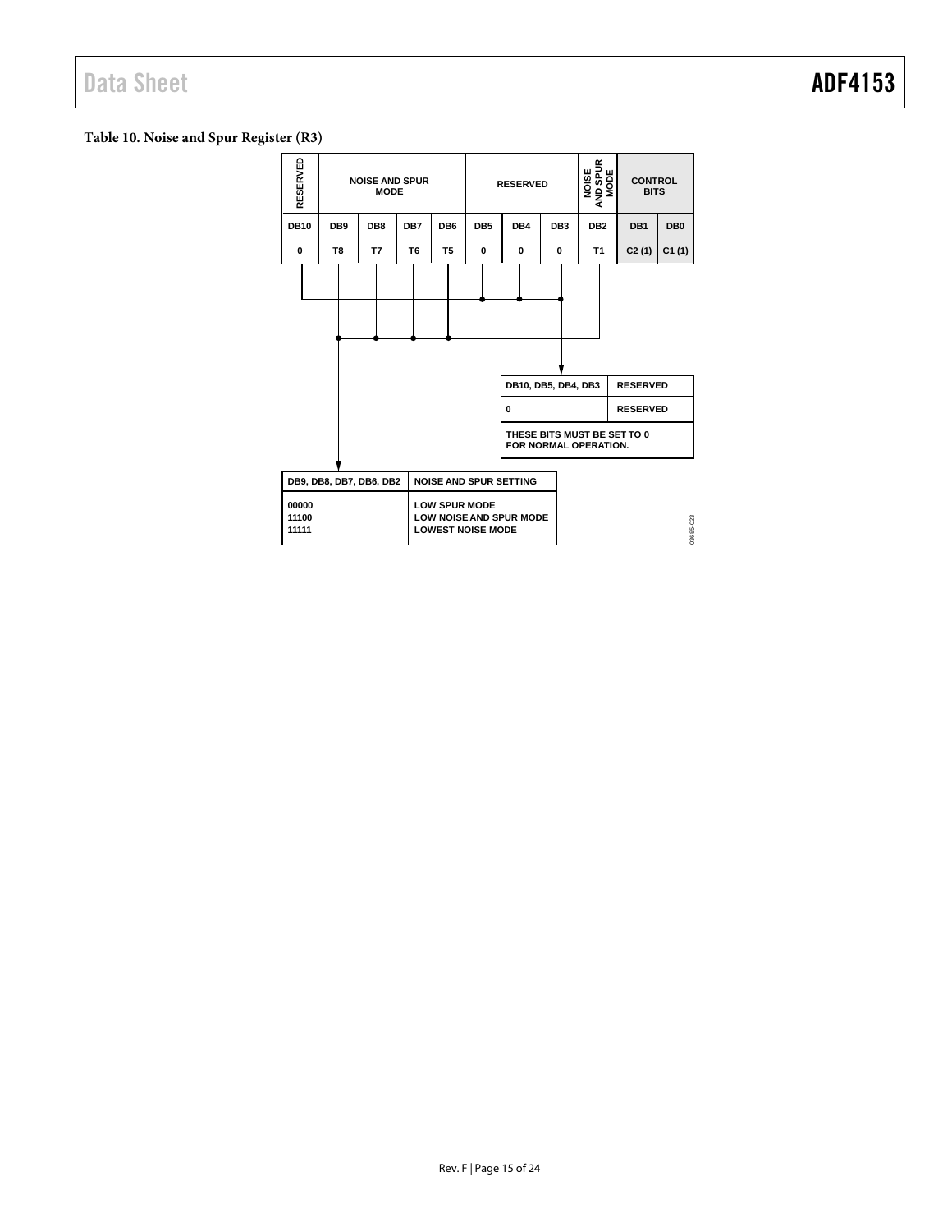#### <span id="page-14-0"></span>**Table 10. Noise and Spur Register (R3)**

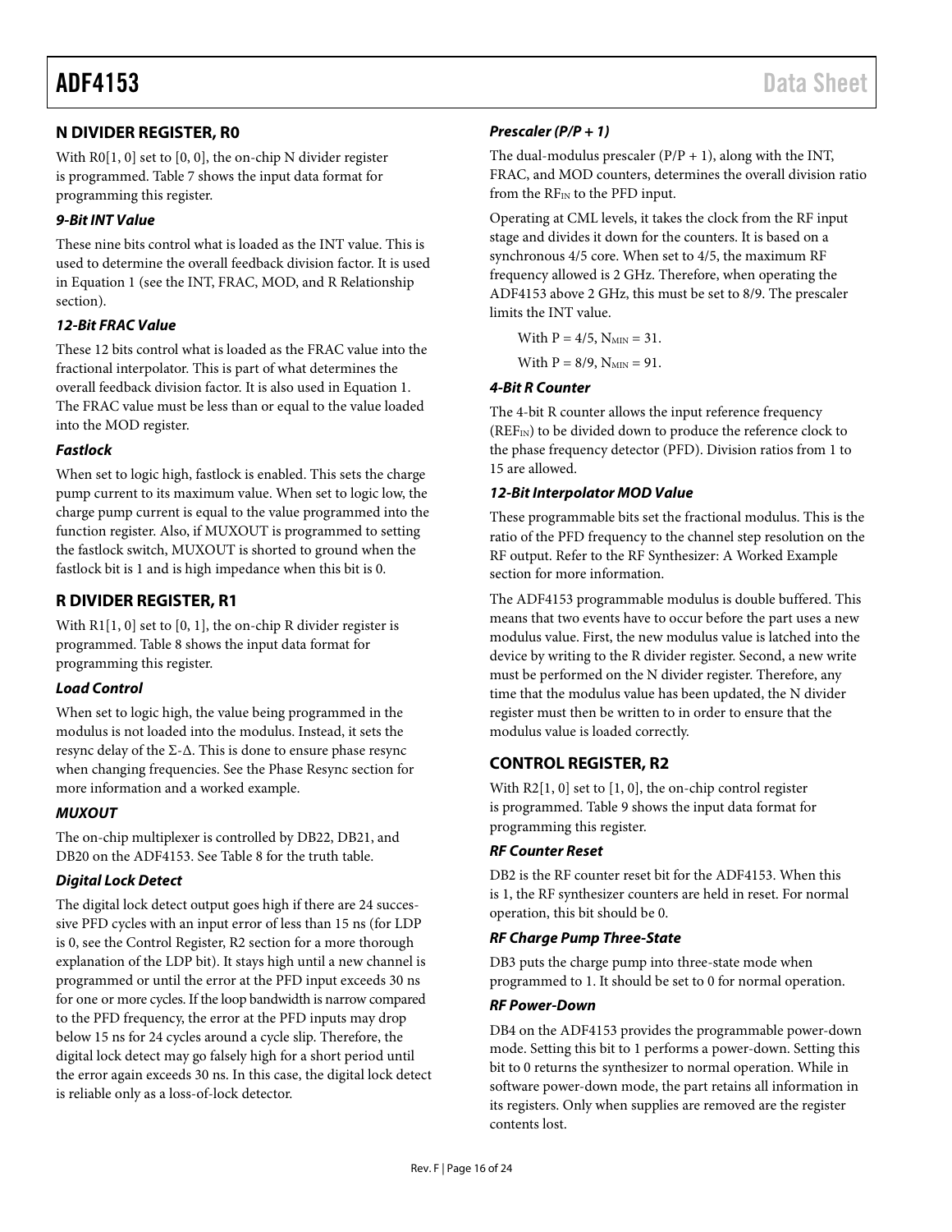#### <span id="page-15-0"></span>**N DIVIDER REGISTER, R0**

With R0[1, 0] set to [0, 0], the on-chip N divider register is programmed[. Table 7](#page-11-0) shows the input data format for programming this register.

#### *9-Bit INT Value*

These nine bits control what is loaded as the INT value. This is used to determine the overall feedback division factor. It is used in Equation 1 (see the [INT, FRAC, MOD, and R Relationship](#page-8-4) section).

#### *12-Bit FRAC Value*

These 12 bits control what is loaded as the FRAC value into the fractional interpolator. This is part of what determines the overall feedback division factor. It is also used in Equation 1. The FRAC value must be less than or equal to the value loaded into the MOD register.

#### *Fastlock*

When set to logic high, fastlock is enabled. This sets the charge pump current to its maximum value. When set to logic low, the charge pump current is equal to the value programmed into the function register. Also, if MUXOUT is programmed to setting the fastlock switch, MUXOUT is shorted to ground when the fastlock bit is 1 and is high impedance when this bit is 0.

#### <span id="page-15-1"></span>**R DIVIDER REGISTER, R1**

With  $R1[1, 0]$  set to  $[0, 1]$ , the on-chip R divider register is programmed. [Table 8](#page-12-0) shows the input data format for programming this register.

#### *Load Control*

When set to logic high, the value being programmed in the modulus is not loaded into the modulus. Instead, it sets the resync delay of the  $\Sigma$ - $\Delta$ . This is done to ensure phase resync when changing frequencies. See the [Phase Resync](#page-19-1) section for more information and a worked example.

#### *MUXOUT*

The on-chip multiplexer is controlled by DB22, DB21, and DB20 on the ADF4153. See [Table 8](#page-12-0) for the truth table.

#### *Digital Lock Detect*

The digital lock detect output goes high if there are 24 successive PFD cycles with an input error of less than 15 ns (for LDP is 0, see the [Control Register, R2](#page-15-2) section for a more thorough explanation of the LDP bit). It stays high until a new channel is programmed or until the error at the PFD input exceeds 30 ns for one or more cycles. If the loop bandwidth is narrow compared to the PFD frequency, the error at the PFD inputs may drop below 15 ns for 24 cycles around a cycle slip. Therefore, the digital lock detect may go falsely high for a short period until the error again exceeds 30 ns. In this case, the digital lock detect is reliable only as a loss-of-lock detector.

#### *Prescaler (P/P + 1)*

The dual-modulus prescaler  $(P/P + 1)$ , along with the INT, FRAC, and MOD counters, determines the overall division ratio from the  $RF_{IN}$  to the PFD input.

Operating at CML levels, it takes the clock from the RF input stage and divides it down for the counters. It is based on a synchronous 4/5 core. When set to 4/5, the maximum RF frequency allowed is 2 GHz. Therefore, when operating the ADF4153 above 2 GHz, this must be set to 8/9. The prescaler limits the INT value.

With  $P = 4/5$ ,  $N_{MIN} = 31$ . With  $P = 8/9$ ,  $N_{MIN} = 91$ .

#### *4-Bit R Counter*

The 4-bit R counter allows the input reference frequency  $(REF_{IN})$  to be divided down to produce the reference clock to the phase frequency detector (PFD). Division ratios from 1 to 15 are allowed.

#### *12-Bit Interpolator MOD Value*

These programmable bits set the fractional modulus. This is the ratio of the PFD frequency to the channel step resolution on the RF output. Refer to the [RF Synthesizer: A Worked Example](#page-17-1) section for more information.

The ADF4153 programmable modulus is double buffered. This means that two events have to occur before the part uses a new modulus value. First, the new modulus value is latched into the device by writing to the R divider register. Second, a new write must be performed on the N divider register. Therefore, any time that the modulus value has been updated, the N divider register must then be written to in order to ensure that the modulus value is loaded correctly.

#### <span id="page-15-2"></span>**CONTROL REGISTER, R2**

With R2[1, 0] set to [1, 0], the on-chip control register is programmed[. Table 9](#page-13-0) shows the input data format for programming this register.

#### *RF Counter Reset*

DB2 is the RF counter reset bit for the ADF4153. When this is 1, the RF synthesizer counters are held in reset. For normal operation, this bit should be 0.

#### *RF Charge Pump Three-State*

DB3 puts the charge pump into three-state mode when programmed to 1. It should be set to 0 for normal operation.

#### *RF Power-Down*

DB4 on the ADF4153 provides the programmable power-down mode. Setting this bit to 1 performs a power-down. Setting this bit to 0 returns the synthesizer to normal operation. While in software power-down mode, the part retains all information in its registers. Only when supplies are removed are the register contents lost.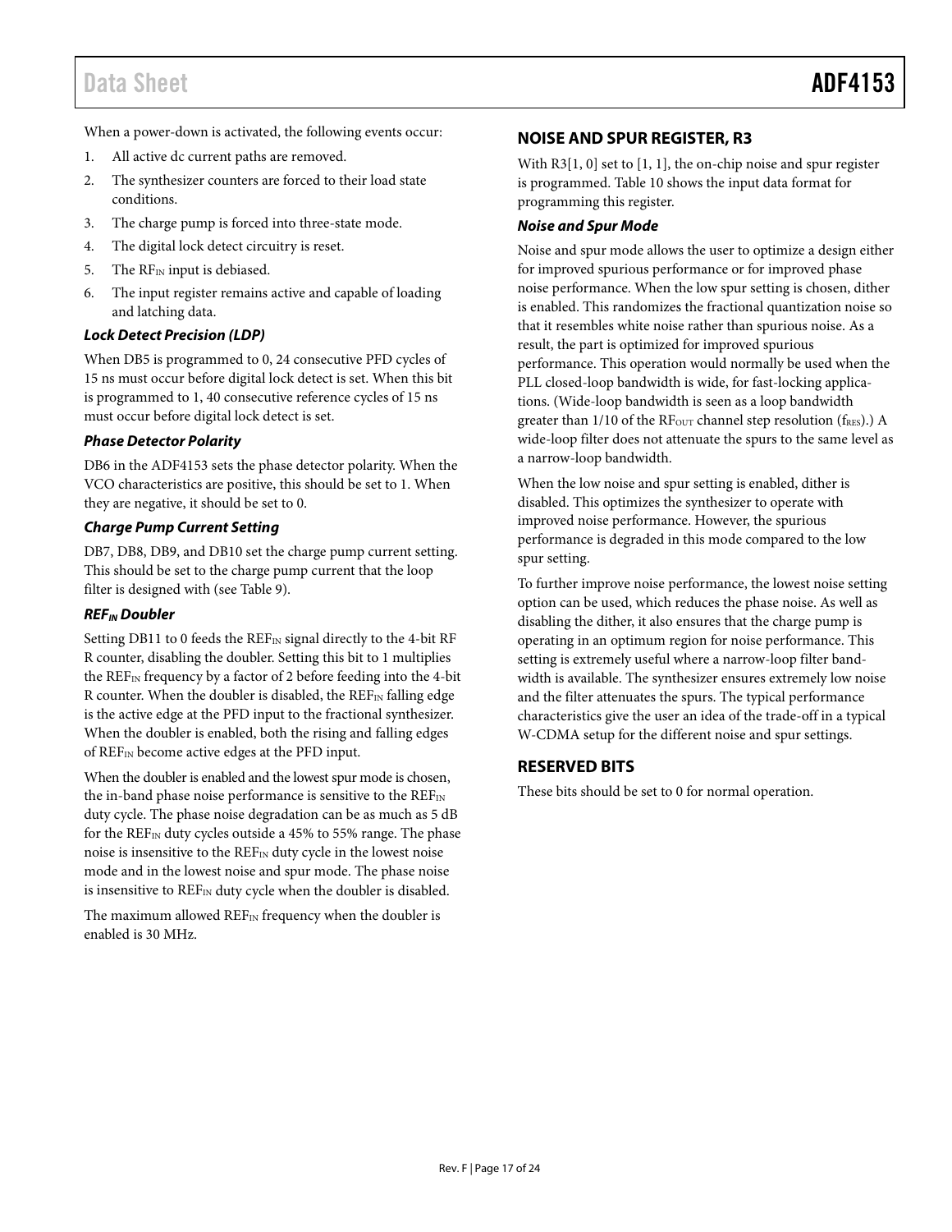### Data Sheet **ADF4153**

When a power-down is activated, the following events occur:

- 1. All active dc current paths are removed.
- 2. The synthesizer counters are forced to their load state conditions.
- 3. The charge pump is forced into three-state mode.
- 4. The digital lock detect circuitry is reset.
- 5. The RF<sub>IN</sub> input is debiased.
- 6. The input register remains active and capable of loading and latching data.

#### *Lock Detect Precision (LDP)*

When DB5 is programmed to 0, 24 consecutive PFD cycles of 15 ns must occur before digital lock detect is set. When this bit is programmed to 1, 40 consecutive reference cycles of 15 ns must occur before digital lock detect is set.

#### *Phase Detector Polarity*

DB6 in the ADF4153 sets the phase detector polarity. When the VCO characteristics are positive, this should be set to 1. When they are negative, it should be set to 0.

#### *Charge Pump Current Setting*

DB7, DB8, DB9, and DB10 set the charge pump current setting. This should be set to the charge pump current that the loop filter is designed with (se[e Table 9\)](#page-13-0).

#### *REFIN Doubler*

Setting DB11 to 0 feeds the  $REF_{IN}$  signal directly to the 4-bit RF R counter, disabling the doubler. Setting this bit to 1 multiplies the REFIN frequency by a factor of 2 before feeding into the 4-bit R counter. When the doubler is disabled, the  $REF_{IN}$  falling edge is the active edge at the PFD input to the fractional synthesizer. When the doubler is enabled, both the rising and falling edges of REFIN become active edges at the PFD input.

When the doubler is enabled and the lowest spur mode is chosen, the in-band phase noise performance is sensitive to the REFIN duty cycle. The phase noise degradation can be as much as 5 dB for the  $REF_{IN}$  duty cycles outside a 45% to 55% range. The phase noise is insensitive to the REFIN duty cycle in the lowest noise mode and in the lowest noise and spur mode. The phase noise is insensitive to REF<sub>IN</sub> duty cycle when the doubler is disabled.

The maximum allowed  $REF_{IN}$  frequency when the doubler is enabled is 30 MHz.

#### <span id="page-16-0"></span>**NOISE AND SPUR REGISTER, R3**

With R3[1, 0] set to [1, 1], the on-chip noise and spur register is programmed[. Table 10](#page-14-0) shows the input data format for programming this register.

#### <span id="page-16-2"></span>*Noise and Spur Mode*

Noise and spur mode allows the user to optimize a design either for improved spurious performance or for improved phase noise performance. When the low spur setting is chosen, dither is enabled. This randomizes the fractional quantization noise so that it resembles white noise rather than spurious noise. As a result, the part is optimized for improved spurious performance. This operation would normally be used when the PLL closed-loop bandwidth is wide, for fast-locking applications. (Wide-loop bandwidth is seen as a loop bandwidth greater than  $1/10$  of the RF<sub>OUT</sub> channel step resolution ( $f_{RES}$ ).) A wide-loop filter does not attenuate the spurs to the same level as a narrow-loop bandwidth.

When the low noise and spur setting is enabled, dither is disabled. This optimizes the synthesizer to operate with improved noise performance. However, the spurious performance is degraded in this mode compared to the low spur setting.

To further improve noise performance, the lowest noise setting option can be used, which reduces the phase noise. As well as disabling the dither, it also ensures that the charge pump is operating in an optimum region for noise performance. This setting is extremely useful where a narrow-loop filter bandwidth is available. The synthesizer ensures extremely low noise and the filter attenuates the spurs. The typical performance characteristics give the user an idea of the trade-off in a typical W-CDMA setup for the different noise and spur settings.

#### <span id="page-16-1"></span>**RESERVED BITS**

These bits should be set to 0 for normal operation.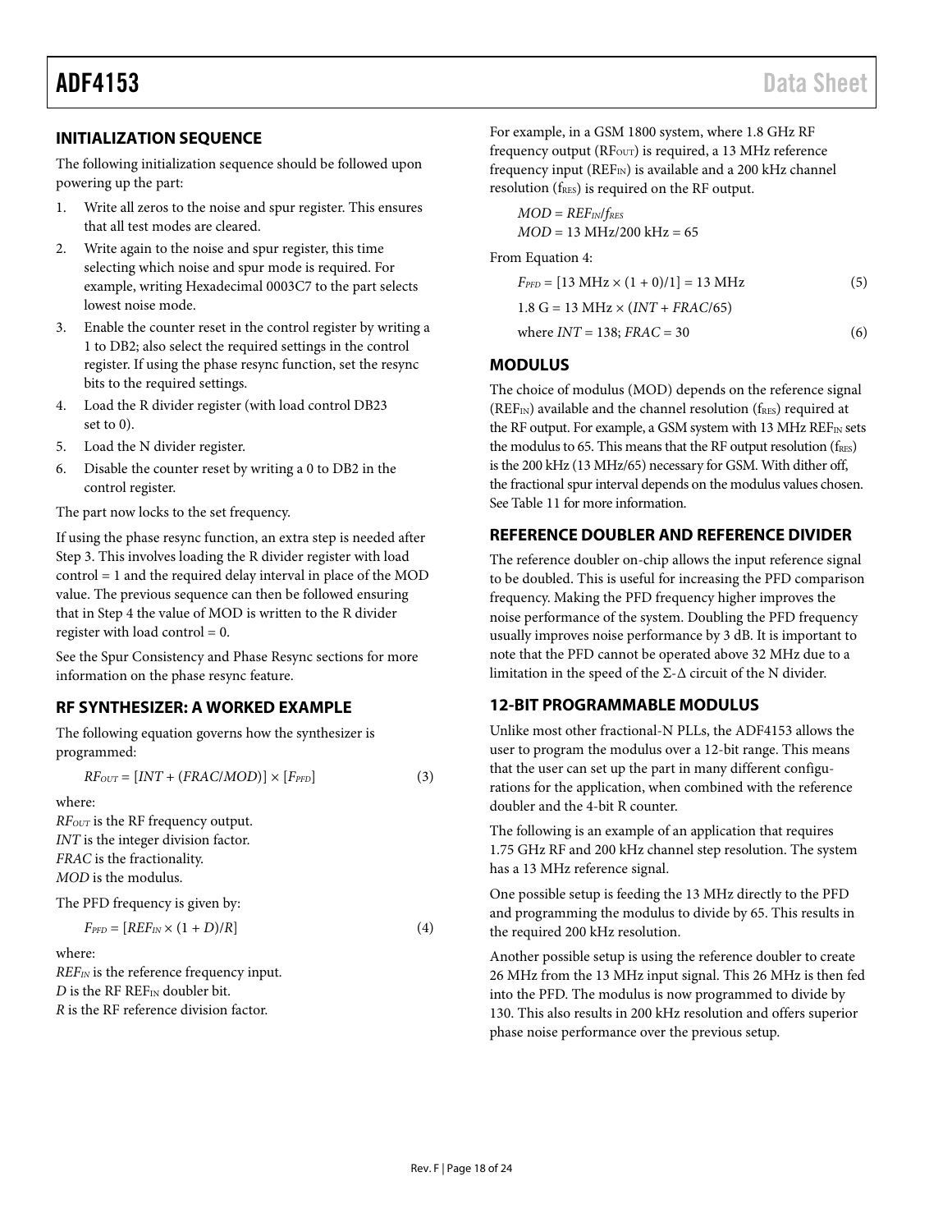#### <span id="page-17-0"></span>**INITIALIZATION SEQUENCE**

The following initialization sequence should be followed upon powering up the part:

- 1. Write all zeros to the noise and spur register. This ensures that all test modes are cleared.
- 2. Write again to the noise and spur register, this time selecting which noise and spur mode is required. For example, writing Hexadecimal 0003C7 to the part selects lowest noise mode.
- 3. Enable the counter reset in the control register by writing a 1 to DB2; also select the required settings in the control register. If using the phase resync function, set the resync bits to the required settings.
- 4. Load the R divider register (with load control DB23 set to 0).
- 5. Load the N divider register.
- 6. Disable the counter reset by writing a 0 to DB2 in the control register.

The part now locks to the set frequency.

If using the phase resync function, an extra step is needed after Step 3. This involves loading the R divider register with load control = 1 and the required delay interval in place of the MOD value. The previous sequence can then be followed ensuring that in Step 4 the value of MOD is written to the R divider register with load control = 0.

See the [Spur Consistency](#page-19-0) and [Phase Resync](#page-19-1) sections for more information on the phase resync feature.

#### <span id="page-17-1"></span>**RF SYNTHESIZER: A WORKED EXAMPLE**

The following equation governs how the synthesizer is programmed:

 $RF_{OUT} = [INT + (FRAC/MOD)] \times [F_{PFD}]$  (3)

where:

*RFOUT* is the RF frequency output. *INT* is the integer division factor. *FRAC* is the fractionality. *MOD* is the modulus.

The PFD frequency is given by:

 $F_{\text{PFD}} = [REF_{\text{IN}} \times (1+D)/R]$  (4)

where:

*REFIN* is the reference frequency input. *D* is the RF REF<sub>IN</sub> doubler bit. *R* is the RF reference division factor.

For example, in a GSM 1800 system, where 1.8 GHz RF frequency output ( $RF_{OUT}$ ) is required, a 13 MHz reference frequency input ( $REF_{IN}$ ) is available and a 200 kHz channel resolution (fRES) is required on the RF output.

*MOD* = *REFIN*/*fRES MOD* = 13 MHz/200 kHz = 65

From Equation 4:

 $F_{\text{PFD}} = [13 \text{ MHz} \times (1 + 0)/1] = 13 \text{ MHz}$  (5) 1.8 G = 13 MHz  $\times$  (*INT* + *FRAC*/65) where  $INT = 138$ ;  $FRAC = 30$  (6)

#### <span id="page-17-2"></span>**MODULUS**

The choice of modulus (MOD) depends on the reference signal (REFIN) available and the channel resolution ( $f_{RES}$ ) required at the RF output. For example, a GSM system with 13 MHz REF<sub>IN</sub> sets the modulus to 65. This means that the RF output resolution ( $f_{RES}$ ) is the 200 kHz (13 MHz/65) necessary for GSM. With dither off, the fractional spur interval depends on the modulus values chosen. Se[e Table 11](#page-18-2) for more information.

#### <span id="page-17-3"></span>**REFERENCE DOUBLER AND REFERENCE DIVIDER**

The reference doubler on-chip allows the input reference signal to be doubled. This is useful for increasing the PFD comparison frequency. Making the PFD frequency higher improves the noise performance of the system. Doubling the PFD frequency usually improves noise performance by 3 dB. It is important to note that the PFD cannot be operated above 32 MHz due to a limitation in the speed of the  $\Sigma$ - $\Delta$  circuit of the N divider.

#### <span id="page-17-4"></span>**12-BIT PROGRAMMABLE MODULUS**

Unlike most other fractional-N PLLs, the ADF4153 allows the user to program the modulus over a 12-bit range. This means that the user can set up the part in many different configurations for the application, when combined with the reference doubler and the 4-bit R counter.

The following is an example of an application that requires 1.75 GHz RF and 200 kHz channel step resolution. The system has a 13 MHz reference signal.

One possible setup is feeding the 13 MHz directly to the PFD and programming the modulus to divide by 65. This results in the required 200 kHz resolution.

Another possible setup is using the reference doubler to create 26 MHz from the 13 MHz input signal. This 26 MHz is then fed into the PFD. The modulus is now programmed to divide by 130. This also results in 200 kHz resolution and offers superior phase noise performance over the previous setup.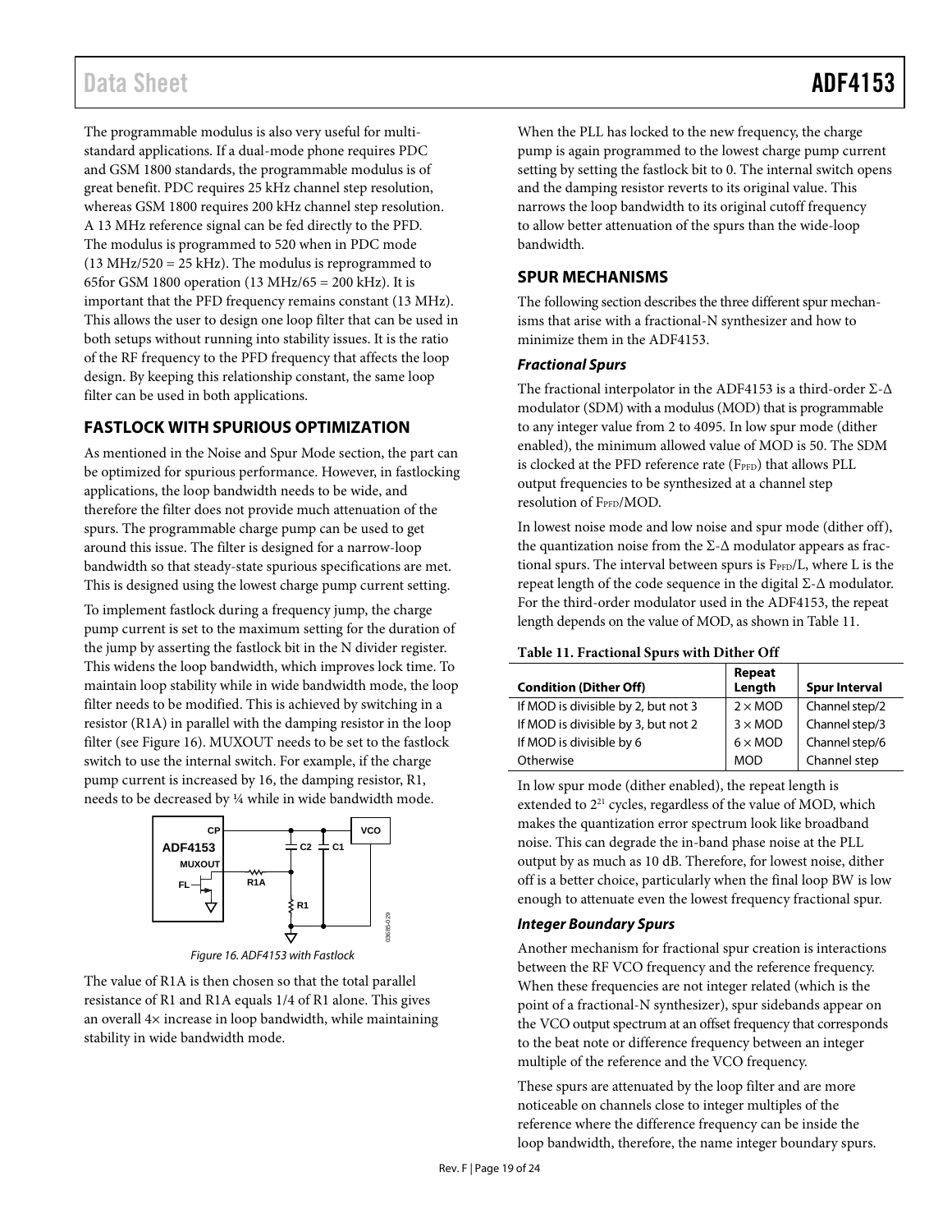### Data Sheet **ADF4153**

The programmable modulus is also very useful for multistandard applications. If a dual-mode phone requires PDC and GSM 1800 standards, the programmable modulus is of great benefit. PDC requires 25 kHz channel step resolution, whereas GSM 1800 requires 200 kHz channel step resolution. A 13 MHz reference signal can be fed directly to the PFD. The modulus is programmed to 520 when in PDC mode (13 MHz/520 = 25 kHz). The modulus is reprogrammed to 65for GSM 1800 operation (13 MHz/65 = 200 kHz). It is important that the PFD frequency remains constant (13 MHz). This allows the user to design one loop filter that can be used in both setups without running into stability issues. It is the ratio of the RF frequency to the PFD frequency that affects the loop design. By keeping this relationship constant, the same loop filter can be used in both applications.

#### <span id="page-18-0"></span>**FASTLOCK WITH SPURIOUS OPTIMIZATION**

As mentioned in th[e Noise and Spur Mode](#page-16-2) section, the part can be optimized for spurious performance. However, in fastlocking applications, the loop bandwidth needs to be wide, and therefore the filter does not provide much attenuation of the spurs. The programmable charge pump can be used to get around this issue. The filter is designed for a narrow-loop bandwidth so that steady-state spurious specifications are met. This is designed using the lowest charge pump current setting.

To implement fastlock during a frequency jump, the charge pump current is set to the maximum setting for the duration of the jump by asserting the fastlock bit in the N divider register. This widens the loop bandwidth, which improves lock time. To maintain loop stability while in wide bandwidth mode, the loop filter needs to be modified. This is achieved by switching in a resistor (R1A) in parallel with the damping resistor in the loop filter (se[e Figure 16\)](#page-18-3). MUXOUT needs to be set to the fastlock switch to use the internal switch. For example, if the charge pump current is increased by 16, the damping resistor, R1, needs to be decreased by ¼ while in wide bandwidth mode.



*Figure 16. ADF4153 with Fastlock*

<span id="page-18-3"></span>The value of R1A is then chosen so that the total parallel resistance of R1 and R1A equals 1/4 of R1 alone. This gives an overall 4× increase in loop bandwidth, while maintaining stability in wide bandwidth mode.

When the PLL has locked to the new frequency, the charge pump is again programmed to the lowest charge pump current setting by setting the fastlock bit to 0. The internal switch opens and the damping resistor reverts to its original value. This narrows the loop bandwidth to its original cutoff frequency to allow better attenuation of the spurs than the wide-loop bandwidth.

#### <span id="page-18-1"></span>**SPUR MECHANISMS**

The following section describes the three different spur mechanisms that arise with a fractional-N synthesizer and how to minimize them in the ADF4153.

#### *Fractional Spurs*

The fractional interpolator in the ADF4153 is a third-order Σ-Δ modulator (SDM) with a modulus (MOD) that is programmable to any integer value from 2 to 4095. In low spur mode (dither enabled), the minimum allowed value of MOD is 50. The SDM is clocked at the PFD reference rate (F<sub>PFD</sub>) that allows PLL output frequencies to be synthesized at a channel step resolution of FPFD/MOD.

In lowest noise mode and low noise and spur mode (dither off), the quantization noise from the  $\Sigma$ - $\Delta$  modulator appears as fractional spurs. The interval between spurs is FPFD/L, where L is the repeat length of the code sequence in the digital  $\Sigma$ -Δ modulator. For the third-order modulator used in the ADF4153, the repeat length depends on the value of MOD, as shown i[n Table 11.](#page-18-2)

#### <span id="page-18-2"></span>**Table 11. Fractional Spurs with Dither Off**

|                                     | Repeat<br>Length      |                      |
|-------------------------------------|-----------------------|----------------------|
| <b>Condition (Dither Off)</b>       |                       | <b>Spur Interval</b> |
| If MOD is divisible by 2, but not 3 | $2 \times MOD$        | Channel step/2       |
| If MOD is divisible by 3, but not 2 | $3 \times MOD$        | Channel step/3       |
| If MOD is divisible by 6            | $6 \times \text{MOD}$ | Channel step/6       |
| Otherwise                           | <b>MOD</b>            | Channel step         |

In low spur mode (dither enabled), the repeat length is extended to  $2^{21}$  cycles, regardless of the value of MOD, which makes the quantization error spectrum look like broadband noise. This can degrade the in-band phase noise at the PLL output by as much as 10 dB. Therefore, for lowest noise, dither off is a better choice, particularly when the final loop BW is low enough to attenuate even the lowest frequency fractional spur.

#### *Integer Boundary Spurs*

Another mechanism for fractional spur creation is interactions between the RF VCO frequency and the reference frequency. When these frequencies are not integer related (which is the point of a fractional-N synthesizer), spur sidebands appear on the VCO output spectrum at an offset frequency that corresponds to the beat note or difference frequency between an integer multiple of the reference and the VCO frequency.

These spurs are attenuated by the loop filter and are more noticeable on channels close to integer multiples of the reference where the difference frequency can be inside the loop bandwidth, therefore, the name integer boundary spurs.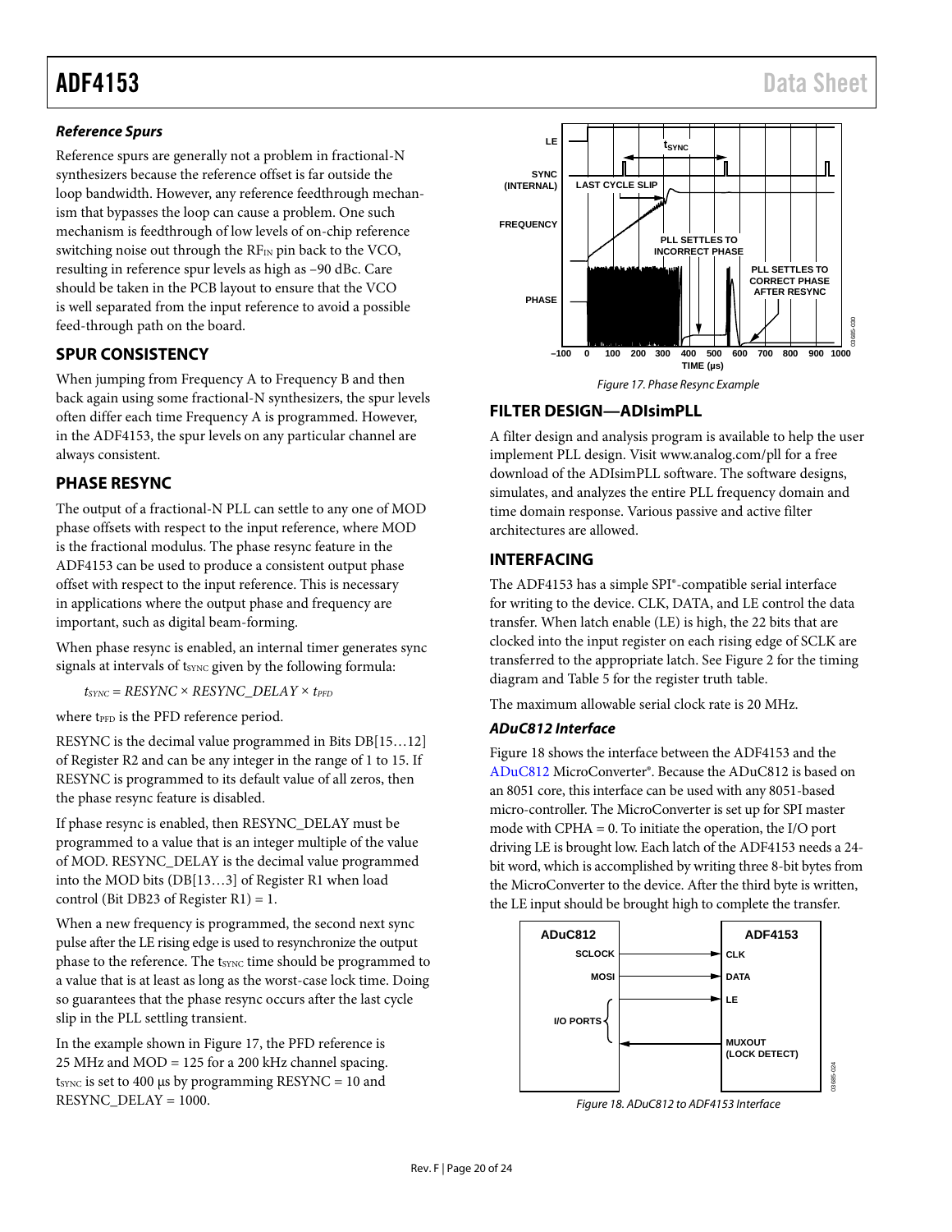#### *Reference Spurs*

Reference spurs are generally not a problem in fractional-N synthesizers because the reference offset is far outside the loop bandwidth. However, any reference feedthrough mechanism that bypasses the loop can cause a problem. One such mechanism is feedthrough of low levels of on-chip reference switching noise out through the RFIN pin back to the VCO, resulting in reference spur levels as high as –90 dBc. Care should be taken in the PCB layout to ensure that the VCO is well separated from the input reference to avoid a possible feed-through path on the board.

#### <span id="page-19-0"></span>**SPUR CONSISTENCY**

When jumping from Frequency A to Frequency B and then back again using some fractional-N synthesizers, the spur levels often differ each time Frequency A is programmed. However, in the ADF4153, the spur levels on any particular channel are always consistent.

#### <span id="page-19-1"></span>**PHASE RESYNC**

The output of a fractional-N PLL can settle to any one of MOD phase offsets with respect to the input reference, where MOD is the fractional modulus. The phase resync feature in the ADF4153 can be used to produce a consistent output phase offset with respect to the input reference. This is necessary in applications where the output phase and frequency are important, such as digital beam-forming.

When phase resync is enabled, an internal timer generates sync signals at intervals of t<sub>SYNC</sub> given by the following formula:

 $t_{\text{SYNC}} = \text{RESYNC} \times \text{RESYNC}$  DELAY  $\times$  *t<sub>PFD</sub>* 

where t<sub>PFD</sub> is the PFD reference period.

RESYNC is the decimal value programmed in Bits DB[15…12] of Register R2 and can be any integer in the range of 1 to 15. If RESYNC is programmed to its default value of all zeros, then the phase resync feature is disabled.

If phase resync is enabled, then RESYNC\_DELAY must be programmed to a value that is an integer multiple of the value of MOD. RESYNC\_DELAY is the decimal value programmed into the MOD bits (DB[13…3] of Register R1 when load control (Bit DB23 of Register R1) = 1.

When a new frequency is programmed, the second next sync pulse after the LE rising edge is used to resynchronize the output phase to the reference. The tsync time should be programmed to a value that is at least as long as the worst-case lock time. Doing so guarantees that the phase resync occurs after the last cycle slip in the PLL settling transient.

In the example shown i[n Figure 17,](#page-19-4) the PFD reference is 25 MHz and MOD = 125 for a 200 kHz channel spacing.  $t_{\text{SYNC}}$  is set to 400 µs by programming RESYNC = 10 and RESYNC\_DELAY = 1000.



### <span id="page-19-4"></span><span id="page-19-2"></span>**FILTER DESIGN—ADIsimPLL**

A filter design and analysis program is available to help the user implement PLL design. Visi[t www.analog.com/pll](http://www.analog.com/pll) for a free download of the ADIsimPLL software. The software designs, simulates, and analyzes the entire PLL frequency domain and time domain response. Various passive and active filter architectures are allowed.

#### <span id="page-19-3"></span>**INTERFACING**

The ADF4153 has a simple SPI®-compatible serial interface for writing to the device. CLK, DATA, and LE control the data transfer. When latch enable (LE) is high, the 22 bits that are clocked into the input register on each rising edge of SCLK are transferred to the appropriate latch. Se[e Figure 2](#page-4-1) for the timing diagram and [Table 5](#page-9-6) for the register truth table.

The maximum allowable serial clock rate is 20 MHz.

#### *[ADuC812 I](http://www.analog.com/ADuC812)nterface*

[Figure 18](#page-19-5) shows the interface between the ADF4153 and the [ADuC812](http://www.analog.com/ADuC812) MicroConverter®. Because the [ADuC812 is](http://www.analog.com/ADuC812) based on an 8051 core, this interface can be used with any 8051-based micro-controller. The MicroConverter is set up for SPI master mode with CPHA = 0. To initiate the operation, the I/O port driving LE is brought low. Each latch of the ADF4153 needs a 24 bit word, which is accomplished by writing three 8-bit bytes from the MicroConverter to the device. After the third byte is written, the LE input should be brought high to complete the transfer.



<span id="page-19-5"></span>*Figure 18. ADuC812 to ADF4153 Interface*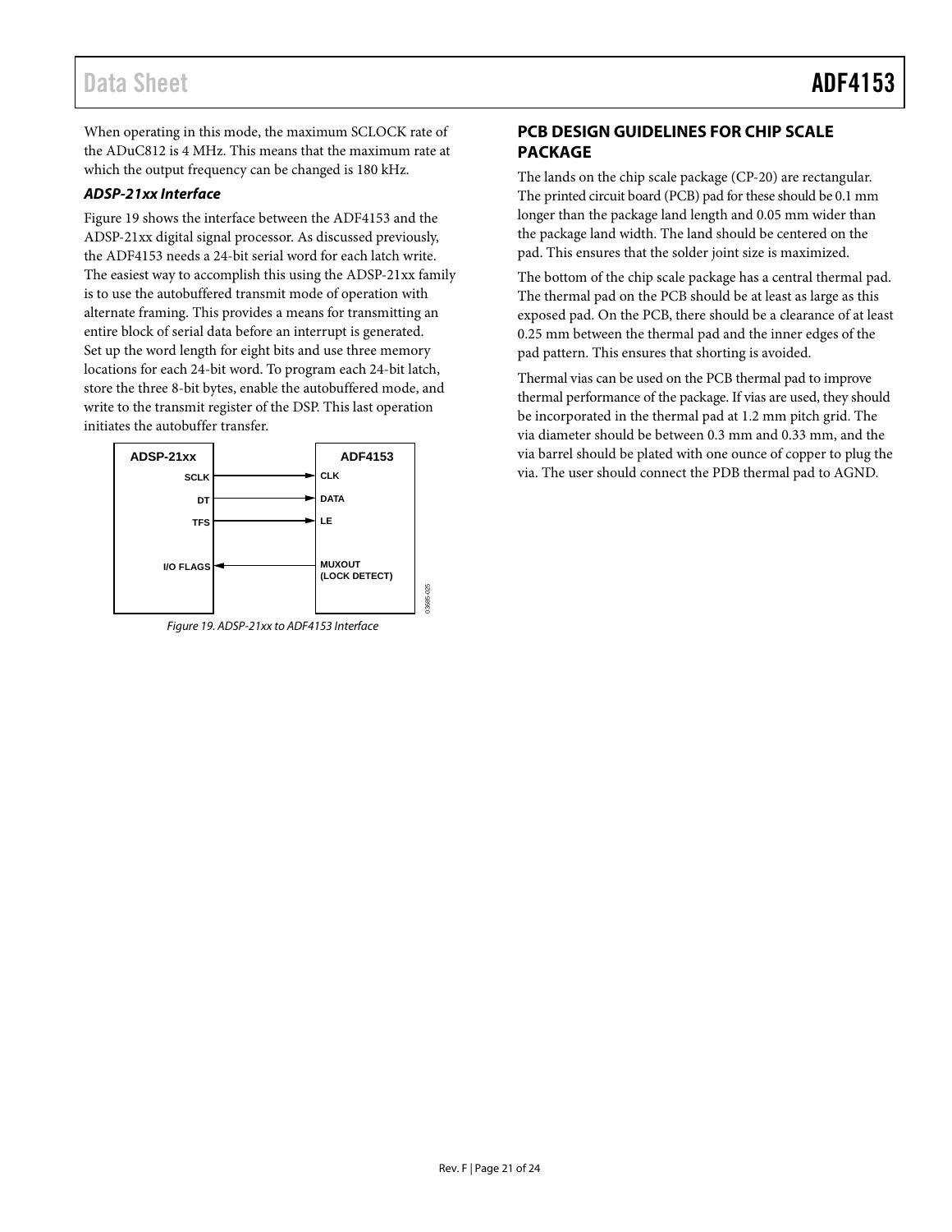### Data Sheet **ADF4153**

When operating in this mode, the maximum SCLOCK rate of the [ADuC812 i](http://www.analog.com/ADuC812)s 4 MHz. This means that the maximum rate at which the output frequency can be changed is 180 kHz.

#### *ADSP-21xx Interface*

[Figure 19](#page-20-1) shows the interface between the ADF4153 and the ADSP-21xx digital signal processor. As discussed previously, the ADF4153 needs a 24-bit serial word for each latch write. The easiest way to accomplish this using the ADSP-21xx family is to use the autobuffered transmit mode of operation with alternate framing. This provides a means for transmitting an entire block of serial data before an interrupt is generated. Set up the word length for eight bits and use three memory locations for each 24-bit word. To program each 24-bit latch, store the three 8-bit bytes, enable the autobuffered mode, and write to the transmit register of the DSP. This last operation initiates the autobuffer transfer.



<span id="page-20-1"></span>*Figure 19. ADSP-21xx to ADF4153 Interface*

#### <span id="page-20-0"></span>**PCB DESIGN GUIDELINES FOR CHIP SCALE PACKAGE**

The lands on the chip scale package (CP-20) are rectangular. The printed circuit board (PCB) pad for these should be 0.1 mm longer than the package land length and 0.05 mm wider than the package land width. The land should be centered on the pad. This ensures that the solder joint size is maximized.

The bottom of the chip scale package has a central thermal pad. The thermal pad on the PCB should be at least as large as this exposed pad. On the PCB, there should be a clearance of at least 0.25 mm between the thermal pad and the inner edges of the pad pattern. This ensures that shorting is avoided.

Thermal vias can be used on the PCB thermal pad to improve thermal performance of the package. If vias are used, they should be incorporated in the thermal pad at 1.2 mm pitch grid. The via diameter should be between 0.3 mm and 0.33 mm, and the via barrel should be plated with one ounce of copper to plug the via. The user should connect the PDB thermal pad to AGND.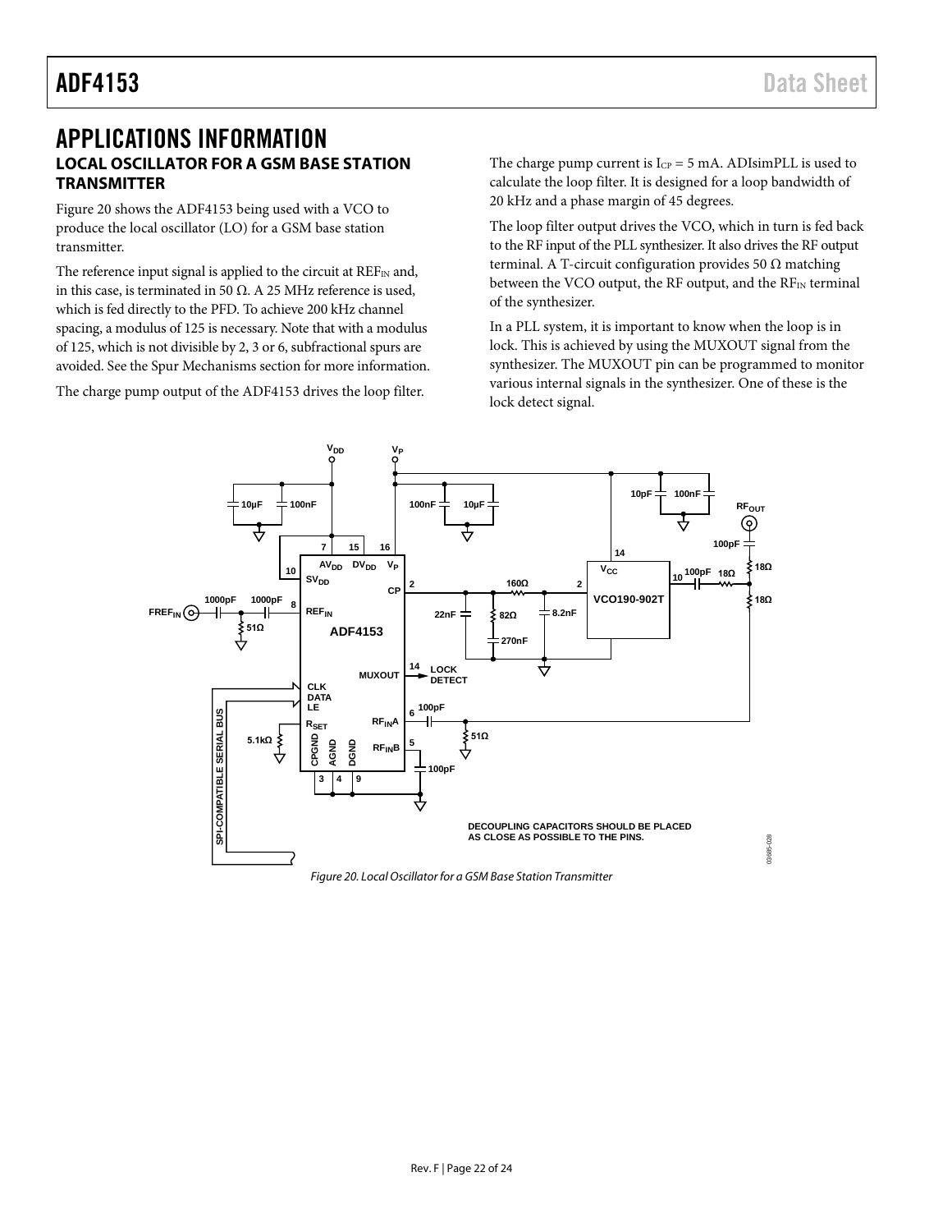### <span id="page-21-1"></span><span id="page-21-0"></span>APPLICATIONS INFORMATION **LOCAL OSCILLATOR FOR A GSM BASE STATION TRANSMITTER**

[Figure 20](#page-21-2) shows the ADF4153 being used with a VCO to produce the local oscillator (LO) for a GSM base station transmitter.

The reference input signal is applied to the circuit at  $REF_{IN}$  and, in this case, is terminated in 50 Ω. A 25 MHz reference is used, which is fed directly to the PFD. To achieve 200 kHz channel spacing, a modulus of 125 is necessary. Note that with a modulus of 125, which is not divisible by 2, 3 or 6, subfractional spurs are avoided. See th[e Spur Mechanisms](#page-18-1) section for more information.

The charge pump output of the ADF4153 drives the loop filter.

The charge pump current is  $I_{CP} = 5$  mA. ADIsimPLL is used to calculate the loop filter. It is designed for a loop bandwidth of 20 kHz and a phase margin of 45 degrees.

The loop filter output drives the VCO, which in turn is fed back to the RF input of the PLL synthesizer. It also drives the RF output terminal. A T-circuit configuration provides 50  $Ω$  matching between the VCO output, the RF output, and the  $RF<sub>IN</sub>$  terminal of the synthesizer.

In a PLL system, it is important to know when the loop is in lock. This is achieved by using the MUXOUT signal from the synthesizer. The MUXOUT pin can be programmed to monitor various internal signals in the synthesizer. One of these is the lock detect signal.



<span id="page-21-2"></span>*Figure 20. Local Oscillator for a GSM Base Station Transmitter*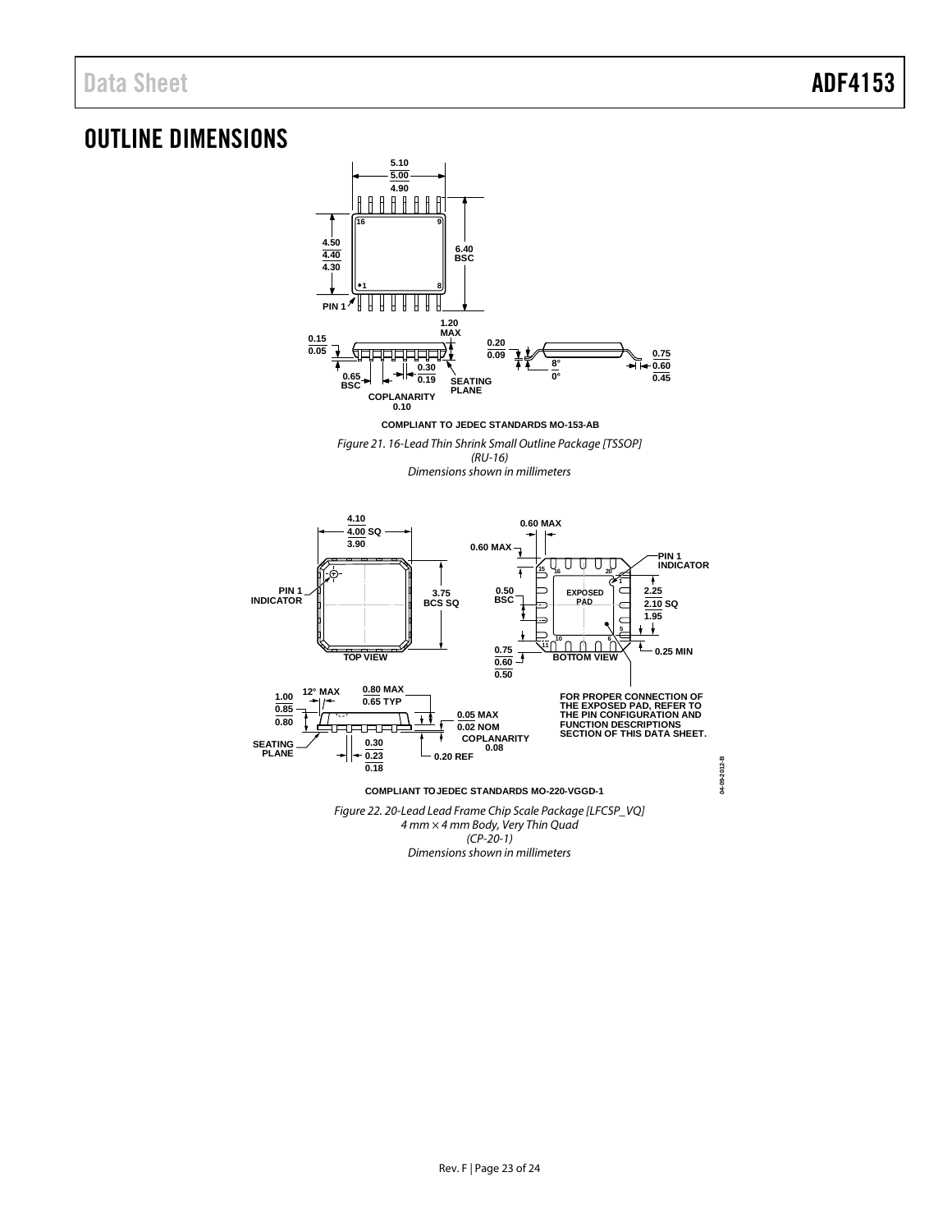## <span id="page-22-0"></span>OUTLINE DIMENSIONS



*(CP-20-1)*

*Dimensions shown in millimeters*